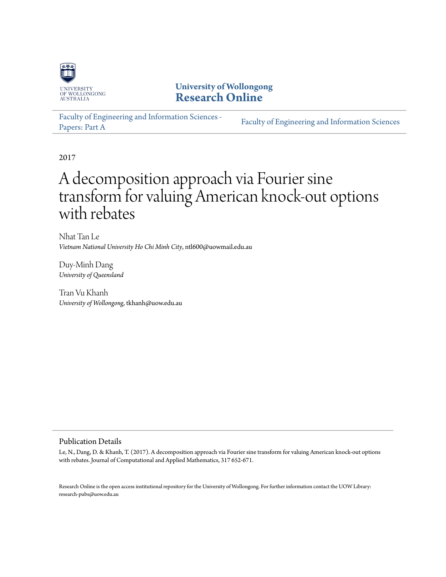

**University of Wollongong [Research Online](http://ro.uow.edu.au)**

[Faculty of Engineering and Information Sciences -](http://ro.uow.edu.au/eispapers) [Papers: Part A](http://ro.uow.edu.au/eispapers) [Faculty of Engineering and Information Sciences](http://ro.uow.edu.au/eis)

2017

## A decomposition approach via Fourier sine transform for valuing American knock-out options with rebates

Nhat Tan Le *Vietnam National University Ho Chi Minh City*, ntl600@uowmail.edu.au

Duy-Minh Dang *University of Queensland*

Tran Vu Khanh *University of Wollongong*, tkhanh@uow.edu.au

### Publication Details

Le, N., Dang, D. & Khanh, T. (2017). A decomposition approach via Fourier sine transform for valuing American knock-out options with rebates. Journal of Computational and Applied Mathematics, 317 652-671.

Research Online is the open access institutional repository for the University of Wollongong. For further information contact the UOW Library: research-pubs@uow.edu.au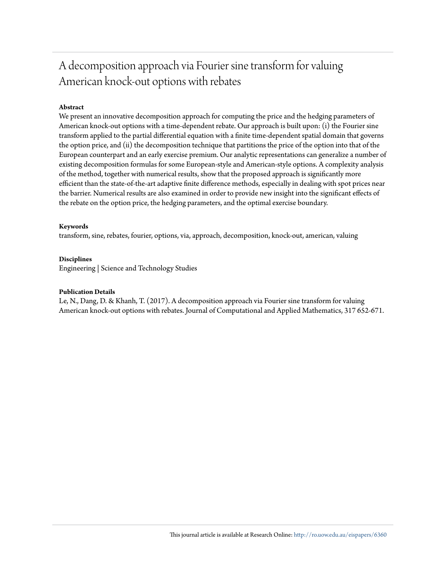## A decomposition approach via Fourier sine transform for valuing American knock-out options with rebates

#### **Abstract**

We present an innovative decomposition approach for computing the price and the hedging parameters of American knock-out options with a time-dependent rebate. Our approach is built upon: (i) the Fourier sine transform applied to the partial differential equation with a finite time-dependent spatial domain that governs the option price, and (ii) the decomposition technique that partitions the price of the option into that of the European counterpart and an early exercise premium. Our analytic representations can generalize a number of existing decomposition formulas for some European-style and American-style options. A complexity analysis of the method, together with numerical results, show that the proposed approach is significantly more efficient than the state-of-the-art adaptive finite difference methods, especially in dealing with spot prices near the barrier. Numerical results are also examined in order to provide new insight into the significant effects of the rebate on the option price, the hedging parameters, and the optimal exercise boundary.

#### **Keywords**

transform, sine, rebates, fourier, options, via, approach, decomposition, knock-out, american, valuing

#### **Disciplines**

Engineering | Science and Technology Studies

#### **Publication Details**

Le, N., Dang, D. & Khanh, T. (2017). A decomposition approach via Fourier sine transform for valuing American knock-out options with rebates. Journal of Computational and Applied Mathematics, 317 652-671.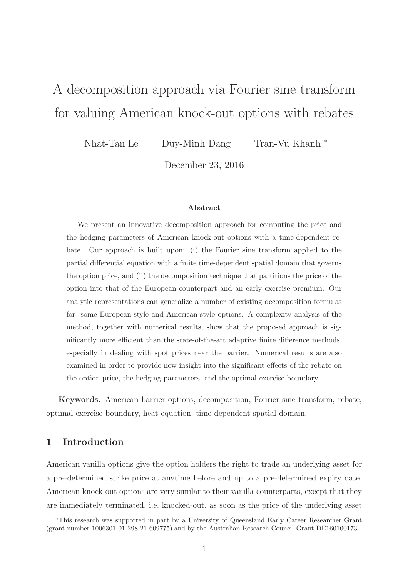# A decomposition approach via Fourier sine transform for valuing American knock-out options with rebates

Nhat-Tan Le Duy-Minh Dang Tran-Vu Khanh <sup>∗</sup>

December 23, 2016

#### Abstract

We present an innovative decomposition approach for computing the price and the hedging parameters of American knock-out options with a time-dependent rebate. Our approach is built upon: (i) the Fourier sine transform applied to the partial differential equation with a finite time-dependent spatial domain that governs the option price, and (ii) the decomposition technique that partitions the price of the option into that of the European counterpart and an early exercise premium. Our analytic representations can generalize a number of existing decomposition formulas for some European-style and American-style options. A complexity analysis of the method, together with numerical results, show that the proposed approach is significantly more efficient than the state-of-the-art adaptive finite difference methods, especially in dealing with spot prices near the barrier. Numerical results are also examined in order to provide new insight into the significant effects of the rebate on the option price, the hedging parameters, and the optimal exercise boundary.

Keywords. American barrier options, decomposition, Fourier sine transform, rebate, optimal exercise boundary, heat equation, time-dependent spatial domain.

### 1 Introduction

American vanilla options give the option holders the right to trade an underlying asset for a pre-determined strike price at anytime before and up to a pre-determined expiry date. American knock-out options are very similar to their vanilla counterparts, except that they are immediately terminated, i.e. knocked-out, as soon as the price of the underlying asset

<sup>∗</sup>This research was supported in part by a University of Queensland Early Career Researcher Grant (grant number 1006301-01-298-21-609775) and by the Australian Research Council Grant DE160100173.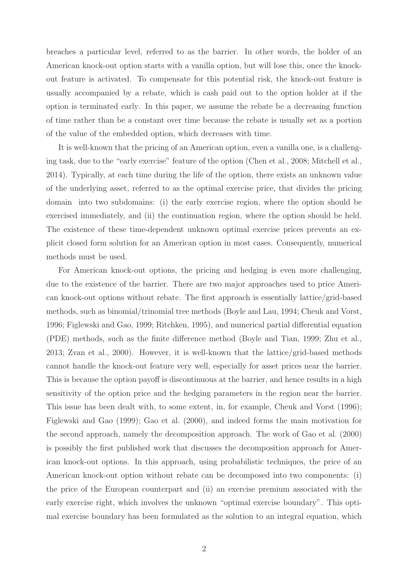breaches a particular level, referred to as the barrier. In other words, the holder of an American knock-out option starts with a vanilla option, but will lose this, once the knockout feature is activated. To compensate for this potential risk, the knock-out feature is usually accompanied by a rebate, which is cash paid out to the option holder at if the option is terminated early. In this paper, we assume the rebate be a decreasing function of time rather than be a constant over time because the rebate is usually set as a portion of the value of the embedded option, which decreases with time.

It is well-known that the pricing of an American option, even a vanilla one, is a challenging task, due to the "early exercise" feature of the option (Chen et al., 2008; Mitchell et al., 2014). Typically, at each time during the life of the option, there exists an unknown value of the underlying asset, referred to as the optimal exercise price, that divides the pricing domain into two subdomains: (i) the early exercise region, where the option should be exercised immediately, and (ii) the continuation region, where the option should be held. The existence of these time-dependent unknown optimal exercise prices prevents an explicit closed form solution for an American option in most cases. Consequently, numerical methods must be used.

For American knock-out options, the pricing and hedging is even more challenging, due to the existence of the barrier. There are two major approaches used to price American knock-out options without rebate. The first approach is essentially lattice/grid-based methods, such as binomial/trinomial tree methods (Boyle and Lau, 1994; Cheuk and Vorst, 1996; Figlewski and Gao, 1999; Ritchken, 1995), and numerical partial differential equation (PDE) methods, such as the finite difference method (Boyle and Tian, 1999; Zhu et al., 2013; Zvan et al., 2000). However, it is well-known that the lattice/grid-based methods cannot handle the knock-out feature very well, especially for asset prices near the barrier. This is because the option payoff is discontinuous at the barrier, and hence results in a high sensitivity of the option price and the hedging parameters in the region near the barrier. This issue has been dealt with, to some extent, in, for example, Cheuk and Vorst (1996); Figlewski and Gao (1999); Gao et al. (2000), and indeed forms the main motivation for the second approach, namely the decomposition approach. The work of Gao et al. (2000) is possibly the first published work that discusses the decomposition approach for American knock-out options. In this approach, using probabilistic techniques, the price of an American knock-out option without rebate can be decomposed into two components: (i) the price of the European counterpart and (ii) an exercise premium associated with the early exercise right, which involves the unknown "optimal exercise boundary". This optimal exercise boundary has been formulated as the solution to an integral equation, which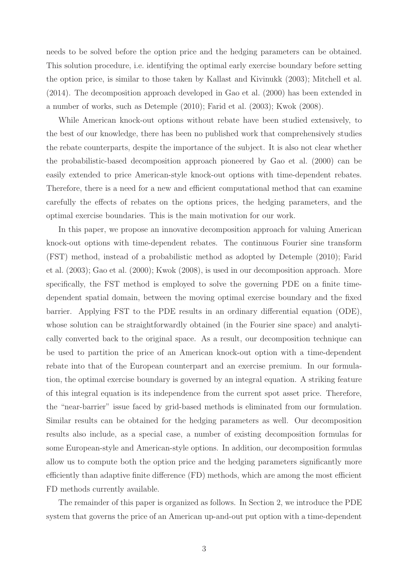needs to be solved before the option price and the hedging parameters can be obtained. This solution procedure, i.e. identifying the optimal early exercise boundary before setting the option price, is similar to those taken by Kallast and Kivinukk (2003); Mitchell et al. (2014). The decomposition approach developed in Gao et al. (2000) has been extended in a number of works, such as Detemple (2010); Farid et al. (2003); Kwok (2008).

While American knock-out options without rebate have been studied extensively, to the best of our knowledge, there has been no published work that comprehensively studies the rebate counterparts, despite the importance of the subject. It is also not clear whether the probabilistic-based decomposition approach pioneered by Gao et al. (2000) can be easily extended to price American-style knock-out options with time-dependent rebates. Therefore, there is a need for a new and efficient computational method that can examine carefully the effects of rebates on the options prices, the hedging parameters, and the optimal exercise boundaries. This is the main motivation for our work.

In this paper, we propose an innovative decomposition approach for valuing American knock-out options with time-dependent rebates. The continuous Fourier sine transform (FST) method, instead of a probabilistic method as adopted by Detemple (2010); Farid et al. (2003); Gao et al. (2000); Kwok (2008), is used in our decomposition approach. More specifically, the FST method is employed to solve the governing PDE on a finite timedependent spatial domain, between the moving optimal exercise boundary and the fixed barrier. Applying FST to the PDE results in an ordinary differential equation (ODE), whose solution can be straightforwardly obtained (in the Fourier sine space) and analytically converted back to the original space. As a result, our decomposition technique can be used to partition the price of an American knock-out option with a time-dependent rebate into that of the European counterpart and an exercise premium. In our formulation, the optimal exercise boundary is governed by an integral equation. A striking feature of this integral equation is its independence from the current spot asset price. Therefore, the "near-barrier" issue faced by grid-based methods is eliminated from our formulation. Similar results can be obtained for the hedging parameters as well. Our decomposition results also include, as a special case, a number of existing decomposition formulas for some European-style and American-style options. In addition, our decomposition formulas allow us to compute both the option price and the hedging parameters significantly more efficiently than adaptive finite difference (FD) methods, which are among the most efficient FD methods currently available.

The remainder of this paper is organized as follows. In Section 2, we introduce the PDE system that governs the price of an American up-and-out put option with a time-dependent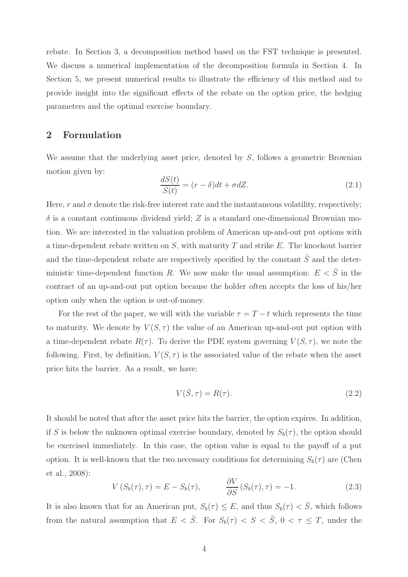rebate. In Section 3, a decomposition method based on the FST technique is presented. We discuss a numerical implementation of the decomposition formula in Section 4. In Section 5, we present numerical results to illustrate the efficiency of this method and to provide insight into the significant effects of the rebate on the option price, the hedging parameters and the optimal exercise boundary.

### 2 Formulation

We assume that the underlying asset price, denoted by S, follows a geometric Brownian motion given by:

$$
\frac{dS(t)}{S(t)} = (r - \delta)dt + \sigma dZ.
$$
\n(2.1)

Here, r and  $\sigma$  denote the risk-free interest rate and the instantaneous volatility, respectively;  $\delta$  is a constant continuous dividend yield; Z is a standard one-dimensional Brownian motion. We are interested in the valuation problem of American up-and-out put options with a time-dependent rebate written on  $S$ , with maturity  $T$  and strike  $E$ . The knockout barrier and the time-dependent rebate are respectively specified by the constant  $\overline{S}$  and the deterministic time-dependent function R. We now make the usual assumption:  $E < \bar{S}$  in the contract of an up-and-out put option because the holder often accepts the loss of his/her option only when the option is out-of-money.

For the rest of the paper, we will with the variable  $\tau = T - t$  which represents the time to maturity. We denote by  $V(S, \tau)$  the value of an American up-and-out put option with a time-dependent rebate  $R(\tau)$ . To derive the PDE system governing  $V(S, \tau)$ , we note the following. First, by definition,  $V(S, \tau)$  is the associated value of the rebate when the asset price hits the barrier. As a result, we have:

$$
V(\bar{S}, \tau) = R(\tau). \tag{2.2}
$$

It should be noted that after the asset price hits the barrier, the option expires. In addition, if S is below the unknown optimal exercise boundary, denoted by  $S_b(\tau)$ , the option should be exercised immediately. In this case, the option value is equal to the payoff of a put option. It is well-known that the two necessary conditions for determining  $S_b(\tau)$  are (Chen et al., 2008):

$$
V(S_b(\tau), \tau) = E - S_b(\tau), \qquad \frac{\partial V}{\partial S}(S_b(\tau), \tau) = -1.
$$
 (2.3)

It is also known that for an American put,  $S_b(\tau) \leq E$ , and thus  $S_b(\tau) < \overline{S}$ , which follows from the natural assumption that  $E < \overline{S}$ . For  $S_b(\tau) < S < \overline{S}$ ,  $0 < \tau \le T$ , under the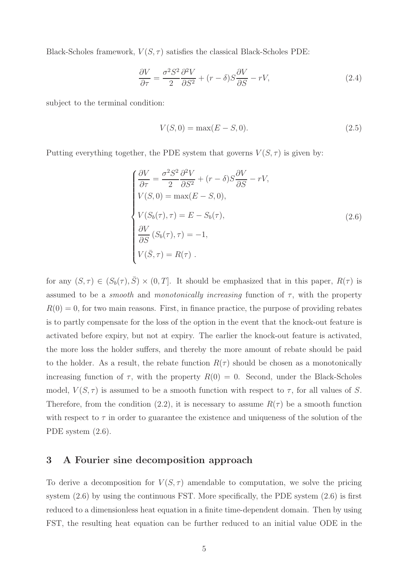Black-Scholes framework,  $V(S, \tau)$  satisfies the classical Black-Scholes PDE:

$$
\frac{\partial V}{\partial \tau} = \frac{\sigma^2 S^2}{2} \frac{\partial^2 V}{\partial S^2} + (r - \delta) S \frac{\partial V}{\partial S} - rV,\tag{2.4}
$$

subject to the terminal condition:

$$
V(S,0) = \max(E - S, 0). \tag{2.5}
$$

Putting everything together, the PDE system that governs  $V(S, \tau)$  is given by:

$$
\begin{cases}\n\frac{\partial V}{\partial \tau} = \frac{\sigma^2 S^2}{2} \frac{\partial^2 V}{\partial S^2} + (r - \delta) S \frac{\partial V}{\partial S} - rV, \\
V(S, 0) = \max(E - S, 0), \\
V(S_b(\tau), \tau) = E - S_b(\tau), \\
\frac{\partial V}{\partial S} (S_b(\tau), \tau) = -1, \\
V(\bar{S}, \tau) = R(\tau).\n\end{cases} (2.6)
$$

for any  $(S, \tau) \in (S_b(\tau), \bar{S}) \times (0, T]$ . It should be emphasized that in this paper,  $R(\tau)$  is assumed to be a *smooth* and *monotonically increasing* function of  $\tau$ , with the property  $R(0) = 0$ , for two main reasons. First, in finance practice, the purpose of providing rebates is to partly compensate for the loss of the option in the event that the knock-out feature is activated before expiry, but not at expiry. The earlier the knock-out feature is activated, the more loss the holder suffers, and thereby the more amount of rebate should be paid to the holder. As a result, the rebate function  $R(\tau)$  should be chosen as a monotonically increasing function of  $\tau$ , with the property  $R(0) = 0$ . Second, under the Black-Scholes model,  $V(S,\tau)$  is assumed to be a smooth function with respect to  $\tau$ , for all values of S. Therefore, from the condition (2.2), it is necessary to assume  $R(\tau)$  be a smooth function with respect to  $\tau$  in order to guarantee the existence and uniqueness of the solution of the PDE system (2.6).

### 3 A Fourier sine decomposition approach

To derive a decomposition for  $V(S, \tau)$  amendable to computation, we solve the pricing system (2.6) by using the continuous FST. More specifically, the PDE system (2.6) is first reduced to a dimensionless heat equation in a finite time-dependent domain. Then by using FST, the resulting heat equation can be further reduced to an initial value ODE in the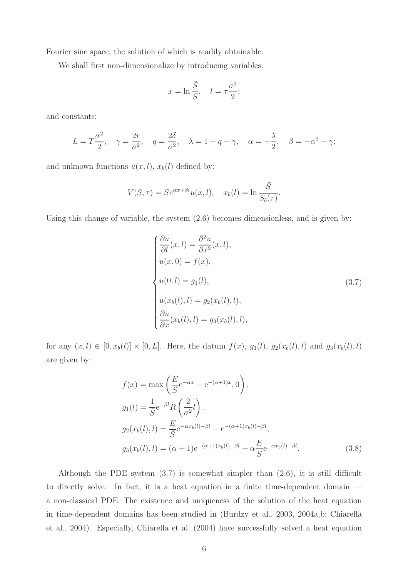Fourier sine space, the solution of which is readily obtainable.

We shall first non-dimensionalize by introducing variables:

$$
x = \ln \frac{\bar{S}}{S}, \quad l = \tau \frac{\sigma^2}{2};
$$

and constants:

$$
L = T\frac{\sigma^2}{2}
$$
,  $\gamma = \frac{2r}{\sigma^2}$ ,  $q = \frac{2\delta}{\sigma^2}$ ,  $\lambda = 1 + q - \gamma$ ,  $\alpha = -\frac{\lambda}{2}$ ,  $\beta = -\alpha^2 - \gamma$ ;

and unknown functions  $u(x, l)$ ,  $x<sub>b</sub>(l)$  defined by:

$$
V(S,\tau) = \bar{S}e^{\alpha x + \beta l}u(x,l), \quad x_b(l) = \ln \frac{\bar{S}}{S_b(\tau)}
$$

Using this change of variable, the system (2.6) becomes dimensionless, and is given by:

$$
\begin{cases}\n\frac{\partial u}{\partial l}(x, l) = \frac{\partial^2 u}{\partial x^2}(x, l), \nu(x, 0) = f(x), \nu(0, l) = g_1(l), \nu(x_b(l), l) = g_2(x_b(l), l), \n\frac{\partial u}{\partial x}(x_b(l), l) = g_3(x_b(l), l),\n\end{cases}
$$
\n(3.7)

.

for any  $(x, l) \in [0, x_b(l)] \times [0, L]$ . Here, the datum  $f(x), g_1(l), g_2(x_b(l), l)$  and  $g_3(x_b(l), l)$ are given by:

$$
f(x) = \max\left(\frac{E}{\overline{S}}e^{-\alpha x} - e^{-(\alpha+1)x}, 0\right),
$$
  
\n
$$
g_1(l) = \frac{1}{\overline{S}}e^{-\beta l}R\left(\frac{2}{\sigma^2}l\right),
$$
  
\n
$$
g_2(x_b(l), l) = \frac{E}{\overline{S}}e^{-\alpha x_b(l) - \beta l} - e^{-(\alpha+1)x_b(l) - \beta l},
$$
  
\n
$$
g_3(x_b(l), l) = (\alpha+1)e^{-(\alpha+1)x_b(l) - \beta l} - \alpha\frac{E}{\overline{S}}e^{-\alpha x_b(l) - \beta l}.
$$
\n(3.8)

Although the PDE system (3.7) is somewhat simpler than (2.6), it is still difficult to directly solve. In fact, it is a heat equation in a finite time-dependent domain a non-classical PDE. The existence and uniqueness of the solution of the heat equation in time-dependent domains has been studied in (Burdzy et al., 2003, 2004a,b; Chiarella et al., 2004). Especially, Chiarella et al. (2004) have successfully solved a heat equation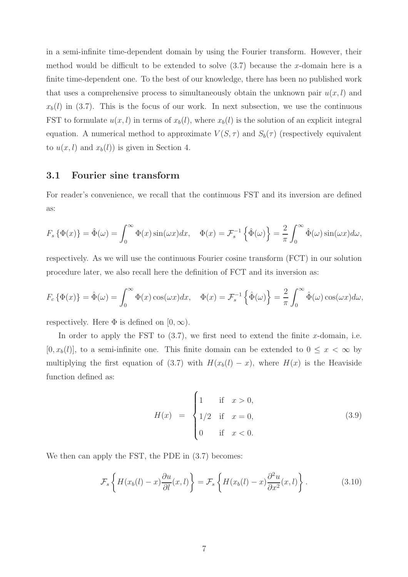in a semi-infinite time-dependent domain by using the Fourier transform. However, their method would be difficult to be extended to solve  $(3.7)$  because the x-domain here is a finite time-dependent one. To the best of our knowledge, there has been no published work that uses a comprehensive process to simultaneously obtain the unknown pair  $u(x, l)$  and  $x_b(l)$  in (3.7). This is the focus of our work. In next subsection, we use the continuous FST to formulate  $u(x, l)$  in terms of  $x<sub>b</sub>(l)$ , where  $x<sub>b</sub>(l)$  is the solution of an explicit integral equation. A numerical method to approximate  $V(S, \tau)$  and  $S_b(\tau)$  (respectively equivalent to  $u(x, l)$  and  $x<sub>b</sub>(l)$  is given in Section 4.

### 3.1 Fourier sine transform

For reader's convenience, we recall that the continuous FST and its inversion are defined as:

$$
F_s \{\Phi(x)\} = \hat{\Phi}(\omega) = \int_0^\infty \Phi(x) \sin(\omega x) dx, \quad \Phi(x) = \mathcal{F}_s^{-1} \{\hat{\Phi}(\omega)\} = \frac{2}{\pi} \int_0^\infty \hat{\Phi}(\omega) \sin(\omega x) d\omega,
$$

respectively. As we will use the continuous Fourier cosine transform (FCT) in our solution procedure later, we also recall here the definition of FCT and its inversion as:

$$
F_c\{\Phi(x)\} = \hat{\Phi}(\omega) = \int_0^\infty \Phi(x) \cos(\omega x) dx, \quad \Phi(x) = \mathcal{F}_s^{-1}\left\{\hat{\Phi}(\omega)\right\} = \frac{2}{\pi} \int_0^\infty \hat{\Phi}(\omega) \cos(\omega x) d\omega,
$$

respectively. Here  $\Phi$  is defined on  $[0, \infty)$ .

In order to apply the FST to  $(3.7)$ , we first need to extend the finite x-domain, i.e.  $[0, x_b(l)]$ , to a semi-infinite one. This finite domain can be extended to  $0 \leq x < \infty$  by multiplying the first equation of (3.7) with  $H(x_b(l) - x)$ , where  $H(x)$  is the Heaviside function defined as:

$$
H(x) = \begin{cases} 1 & \text{if } x > 0, \\ 1/2 & \text{if } x = 0, \\ 0 & \text{if } x < 0. \end{cases}
$$
 (3.9)

We then can apply the FST, the PDE in  $(3.7)$  becomes:

$$
\mathcal{F}_s\left\{H(x_b(l)-x)\frac{\partial u}{\partial l}(x,l)\right\} = \mathcal{F}_s\left\{H(x_b(l)-x)\frac{\partial^2 u}{\partial x^2}(x,l)\right\}.
$$
 (3.10)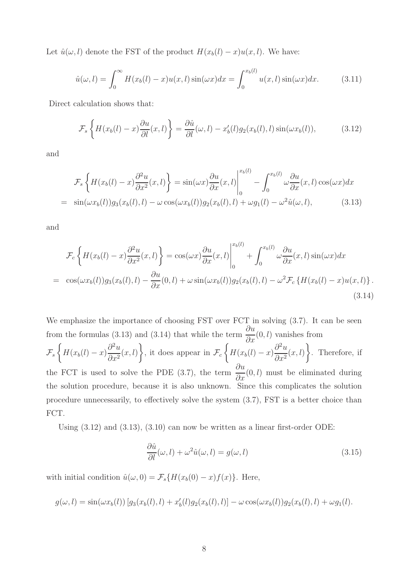Let  $\hat{u}(\omega, l)$  denote the FST of the product  $H(x_b(l) - x)u(x, l)$ . We have:

$$
\hat{u}(\omega, l) = \int_0^\infty H(x_b(l) - x)u(x, l)\sin(\omega x)dx = \int_0^{x_b(l)} u(x, l)\sin(\omega x)dx.
$$
 (3.11)

Direct calculation shows that:

$$
\mathcal{F}_s\left\{H(x_b(l)-x)\frac{\partial u}{\partial l}(x,l)\right\} = \frac{\partial \hat{u}}{\partial l}(\omega,l) - x'_b(l)g_2(x_b(l),l)\sin(\omega x_b(l)),\tag{3.12}
$$

and

$$
\mathcal{F}_s \left\{ H(x_b(l) - x) \frac{\partial^2 u}{\partial x^2}(x, l) \right\} = \sin(\omega x) \frac{\partial u}{\partial x}(x, l) \Big|_0^{x_b(l)} - \int_0^{x_b(l)} \omega \frac{\partial u}{\partial x}(x, l) \cos(\omega x) dx
$$
  
=  $\sin(\omega x_b(l)) g_3(x_b(l), l) - \omega \cos(\omega x_b(l)) g_2(x_b(l), l) + \omega g_1(l) - \omega^2 \hat{u}(\omega, l),$  (3.13)

and

$$
\mathcal{F}_c \left\{ H(x_b(l) - x) \frac{\partial^2 u}{\partial x^2}(x, l) \right\} = \cos(\omega x) \frac{\partial u}{\partial x}(x, l) \Big|_0^{x_b(l)} + \int_0^{x_b(l)} \omega \frac{\partial u}{\partial x}(x, l) \sin(\omega x) dx
$$
  
=  $\cos(\omega x_b(l)) g_3(x_b(l), l) - \frac{\partial u}{\partial x}(0, l) + \omega \sin(\omega x_b(l)) g_2(x_b(l), l) - \omega^2 \mathcal{F}_c \left\{ H(x_b(l) - x) u(x, l) \right\}.$  (3.14)

We emphasize the importance of choosing FST over FCT in solving  $(3.7)$ . It can be seen from the formulas (3.13) and (3.14) that while the term  $\frac{\partial u}{\partial x}$  $\frac{\partial}{\partial x}(0, l)$  vanishes from

 ${\cal F}_s$  $\sqrt{ }$  $H(x_b(l) - x)$  $\partial^2 u$  $\frac{\partial}{\partial x^2}(x,l)$  $\mathcal{L}$ , it does appear in  $\mathcal{F}_c$  $\sqrt{ }$  $H(x_b(l) - x)$  $\partial^2 u$  $\frac{\partial}{\partial x^2}(x,l)$  $\mathcal{L}$ . Therefore, if the FCT is used to solve the PDE (3.7), the term  $\frac{\partial u}{\partial x}$  $\frac{\partial}{\partial x}(0, l)$  must be eliminated during the solution procedure, because it is also unknown. Since this complicates the solution procedure unnecessarily, to effectively solve the system (3.7), FST is a better choice than FCT.

Using  $(3.12)$  and  $(3.13)$ ,  $(3.10)$  can now be written as a linear first-order ODE:

$$
\frac{\partial \hat{u}}{\partial l}(\omega, l) + \omega^2 \hat{u}(\omega, l) = g(\omega, l)
$$
\n(3.15)

with initial condition  $\hat{u}(\omega, 0) = \mathcal{F}_s\{H(x_b(0) - x)f(x)\}\.$  Here,

$$
g(\omega, l) = \sin(\omega x_b(l)) [g_3(x_b(l), l) + x'_b(l)g_2(x_b(l), l)] - \omega \cos(\omega x_b(l))g_2(x_b(l), l) + \omega g_1(l).
$$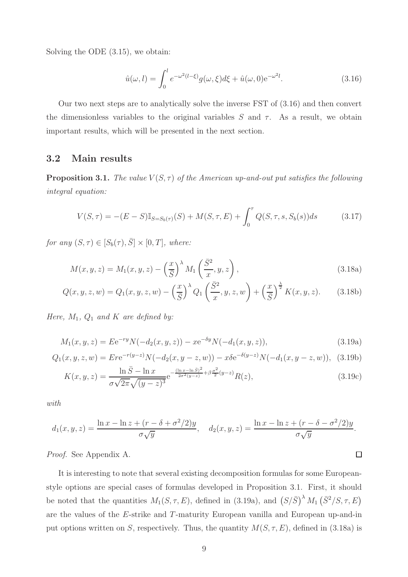Solving the ODE (3.15), we obtain:

$$
\hat{u}(\omega, l) = \int_0^l e^{-\omega^2(l-\xi)} g(\omega, \xi) d\xi + \hat{u}(\omega, 0) e^{-\omega^2 l}.
$$
\n(3.16)

Our two next steps are to analytically solve the inverse FST of (3.16) and then convert the dimensionless variables to the original variables S and  $\tau$ . As a result, we obtain important results, which will be presented in the next section.

### 3.2 Main results

**Proposition 3.1.** The value  $V(S,\tau)$  of the American up-and-out put satisfies the following integral equation:

$$
V(S,\tau) = -(E-S)\mathbb{I}_{S=S_b(\tau)}(S) + M(S,\tau,E) + \int_0^{\tau} Q(S,\tau,s,S_b(s))ds
$$
 (3.17)

for any  $(S, \tau) \in [S_b(\tau), \overline{S}] \times [0, T]$ , where:

$$
M(x, y, z) = M_1(x, y, z) - \left(\frac{x}{\overline{S}}\right)^{\lambda} M_1\left(\frac{\overline{S}^2}{x}, y, z\right),\tag{3.18a}
$$

$$
Q(x, y, z, w) = Q_1(x, y, z, w) - \left(\frac{x}{\overline{S}}\right)^{\lambda} Q_1 \left(\frac{\overline{S}^2}{x}, y, z, w\right) + \left(\frac{x}{\overline{S}}\right)^{\frac{\lambda}{2}} K(x, y, z).
$$
 (3.18b)

Here,  $M_1$ ,  $Q_1$  and K are defined by:

$$
M_1(x, y, z) = E e^{-ry} N(-d_2(x, y, z)) - x e^{-\delta y} N(-d_1(x, y, z)),
$$
\n(3.19a)

$$
Q_1(x, y, z, w) = Ere^{-r(y-z)}N(-d_2(x, y-z, w)) - x\delta e^{-\delta(y-z)}N(-d_1(x, y-z, w)), \quad (3.19b)
$$

$$
K(x, y, z) = \frac{\ln \bar{S} - \ln x}{\sigma \sqrt{2\pi} \sqrt{(y - z)^3}} e^{-\frac{(\ln x - \ln \bar{S})^2}{2\sigma^2 (y - z)} + \beta \frac{\sigma^2}{2}(y - z)} R(z),
$$
(3.19c)

with

$$
d_1(x, y, z) = \frac{\ln x - \ln z + (r - \delta + \sigma^2/2)y}{\sigma \sqrt{y}}, \quad d_2(x, y, z) = \frac{\ln x - \ln z + (r - \delta - \sigma^2/2)y}{\sigma \sqrt{y}}.
$$

 $\Box$ 

Proof. See Appendix A.

It is interesting to note that several existing decomposition formulas for some Europeanstyle options are special cases of formulas developed in Proposition 3.1. First, it should be noted that the quantities  $M_1(S, \tau, E)$ , defined in (3.19a), and  $(S/\bar{S})^{\lambda} M_1(\bar{S}^2/S, \tau, E)$ are the values of the E-strike and T-maturity European vanilla and European up-and-in put options written on S, respectively. Thus, the quantity  $M(S, \tau, E)$ , defined in (3.18a) is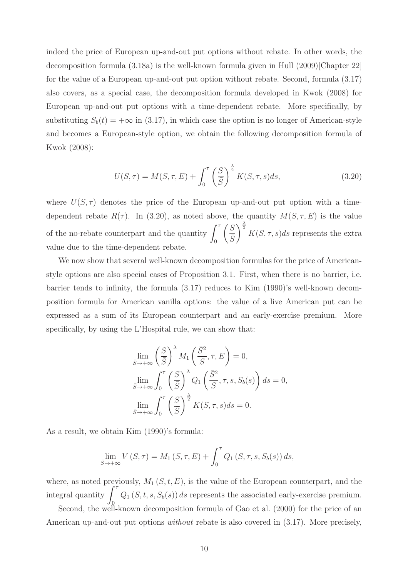indeed the price of European up-and-out put options without rebate. In other words, the decomposition formula (3.18a) is the well-known formula given in Hull (2009)[Chapter 22] for the value of a European up-and-out put option without rebate. Second, formula (3.17) also covers, as a special case, the decomposition formula developed in Kwok (2008) for European up-and-out put options with a time-dependent rebate. More specifically, by substituting  $S_b(t) = +\infty$  in (3.17), in which case the option is no longer of American-style and becomes a European-style option, we obtain the following decomposition formula of Kwok (2008):

$$
U(S,\tau) = M(S,\tau,E) + \int_0^{\tau} \left(\frac{S}{\overline{S}}\right)^{\frac{\lambda}{2}} K(S,\tau,s)ds,\tag{3.20}
$$

where  $U(S,\tau)$  denotes the price of the European up-and-out put option with a timedependent rebate  $R(\tau)$ . In (3.20), as noted above, the quantity  $M(S, \tau, E)$  is the value of the no-rebate counterpart and the quantity  $\int_0^{\tau}$ 0  $\sqrt{S}$  $\bar{S}$  $\int_{0}^{\frac{\lambda}{2}} K(S,\tau,s)ds$  represents the extra value due to the time-dependent rebate.

We now show that several well-known decomposition formulas for the price of Americanstyle options are also special cases of Proposition 3.1. First, when there is no barrier, i.e. barrier tends to infinity, the formula (3.17) reduces to Kim (1990)'s well-known decomposition formula for American vanilla options: the value of a live American put can be expressed as a sum of its European counterpart and an early-exercise premium. More specifically, by using the L'Hospital rule, we can show that:

$$
\lim_{\bar{S}\to+\infty} \left(\frac{S}{\bar{S}}\right)^{\lambda} M_1\left(\frac{\bar{S}^2}{S}, \tau, E\right) = 0,
$$
\n
$$
\lim_{\bar{S}\to+\infty} \int_0^{\tau} \left(\frac{S}{\bar{S}}\right)^{\lambda} Q_1\left(\frac{\bar{S}^2}{S}, \tau, s, S_b(s)\right) ds = 0,
$$
\n
$$
\lim_{\bar{S}\to+\infty} \int_0^{\tau} \left(\frac{S}{\bar{S}}\right)^{\frac{\lambda}{2}} K(S, \tau, s) ds = 0.
$$

As a result, we obtain Kim (1990)'s formula:

$$
\lim_{\bar{S}\to+\infty} V(S,\tau) = M_1(S,\tau,E) + \int_0^{\tau} Q_1(S,\tau,s,S_b(s)) ds,
$$

where, as noted previously,  $M_1(S, t, E)$ , is the value of the European counterpart, and the integral quantity  $\int_0^{\tau}$  $\overline{0}$  $Q_1(S, t, s, S_b(s))$  ds represents the associated early-exercise premium. Second, the well-known decomposition formula of Gao et al. (2000) for the price of an

American up-and-out put options *without* rebate is also covered in  $(3.17)$ . More precisely,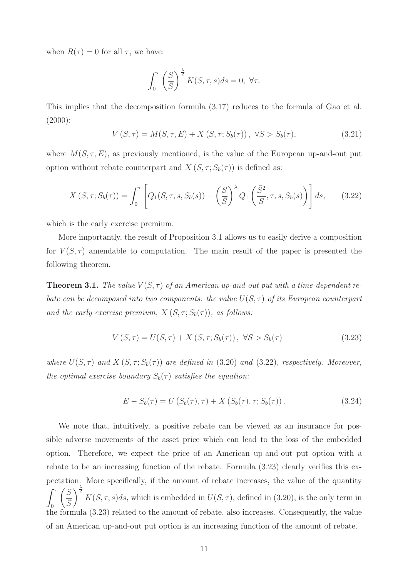when  $R(\tau) = 0$  for all  $\tau$ , we have:

$$
\int_0^\tau \left(\frac{S}{\bar{S}}\right)^{\frac{\lambda}{2}} K(S,\tau,s) ds = 0, \ \forall \tau.
$$

This implies that the decomposition formula (3.17) reduces to the formula of Gao et al. (2000):

$$
V(S,\tau) = M(S,\tau,E) + X(S,\tau;S_b(\tau)), \ \forall S > S_b(\tau), \tag{3.21}
$$

where  $M(S, \tau, E)$ , as previously mentioned, is the value of the European up-and-out put option without rebate counterpart and  $X(S, \tau; S_b(\tau))$  is defined as:

$$
X(S,\tau;S_b(\tau)) = \int_0^\tau \left[ Q_1(S,\tau,s,S_b(s)) - \left(\frac{S}{\overline{S}}\right)^\lambda Q_1\left(\frac{\overline{S}^2}{S},\tau,s,S_b(s)\right) \right] ds, \qquad (3.22)
$$

which is the early exercise premium.

More importantly, the result of Proposition 3.1 allows us to easily derive a composition for  $V(S,\tau)$  amendable to computation. The main result of the paper is presented the following theorem.

**Theorem 3.1.** The value  $V(S,\tau)$  of an American up-and-out put with a time-dependent rebate can be decomposed into two components: the value  $U(S, \tau)$  of its European counterpart and the early exercise premium,  $X(S, \tau; S_b(\tau))$ , as follows.

$$
V(S,\tau) = U(S,\tau) + X(S,\tau; S_b(\tau)), \ \forall S > S_b(\tau)
$$
\n(3.23)

where  $U(S,\tau)$  and  $X(S,\tau; S_b(\tau))$  are defined in (3.20) and (3.22), respectively. Moreover, the optimal exercise boundary  $S_b(\tau)$  satisfies the equation:

$$
E - S_b(\tau) = U(S_b(\tau), \tau) + X(S_b(\tau), \tau; S_b(\tau)).
$$
\n(3.24)

We note that, intuitively, a positive rebate can be viewed as an insurance for possible adverse movements of the asset price which can lead to the loss of the embedded option. Therefore, we expect the price of an American up-and-out put option with a rebate to be an increasing function of the rebate. Formula (3.23) clearly verifies this expectation. More specifically, if the amount of rebate increases, the value of the quantity  $\int_0^{\tau}$ 0  $\sqrt{S}$  $\bar{S}$  $\int_{0}^{\frac{\lambda}{2}} K(S,\tau,s)ds$ , which is embedded in  $U(S,\tau)$ , defined in (3.20), is the only term in the formula (3.23) related to the amount of rebate, also increases. Consequently, the value of an American up-and-out put option is an increasing function of the amount of rebate.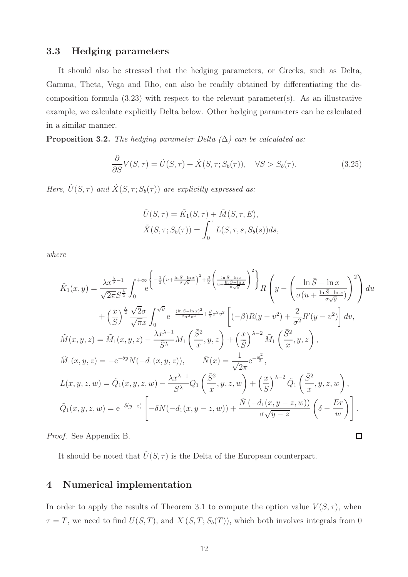### 3.3 Hedging parameters

It should also be stressed that the hedging parameters, or Greeks, such as Delta, Gamma, Theta, Vega and Rho, can also be readily obtained by differentiating the decomposition formula (3.23) with respect to the relevant parameter(s). As an illustrative example, we calculate explicitly Delta below. Other hedging parameters can be calculated in a similar manner.

**Proposition 3.2.** The hedging parameter Delta  $(\Delta)$  can be calculated as:

$$
\frac{\partial}{\partial S}V(S,\tau) = \tilde{U}(S,\tau) + \tilde{X}(S,\tau;S_b(\tau)), \quad \forall S > S_b(\tau). \tag{3.25}
$$

Here,  $\tilde{U}(S,\tau)$  and  $\tilde{X}(S,\tau;S_b(\tau))$  are explicitly expressed as:

$$
\tilde{U}(S,\tau) = \tilde{K}_1(S,\tau) + \tilde{M}(S,\tau,E),
$$
  

$$
\tilde{X}(S,\tau;S_b(\tau)) = \int_0^{\tau} L(S,\tau,s,S_b(s))ds,
$$

where

$$
\tilde{K}_{1}(x,y) = \frac{\lambda x^{\frac{\lambda}{2}-1}}{\sqrt{2\pi}\bar{S}^{\frac{\lambda}{2}}} \int_{0}^{+\infty} \left\{ -\frac{1}{2} \left( u + \frac{\ln \bar{S} - \ln x}{\sigma\sqrt{y}} \right)^{2} + \frac{\beta}{2} \left( \frac{\ln \bar{S} - \ln x}{u + \frac{\ln S - \ln x}{\sigma\sqrt{y}}} \right)^{2} \right\} R \left( y - \left( \frac{\ln \bar{S} - \ln x}{\sigma(u + \frac{\ln \bar{S} - \ln x}{\sigma\sqrt{y}})} \right)^{2} \right) du \n+ \left( \frac{x}{\bar{S}} \right)^{\frac{\lambda}{2}} \frac{\sqrt{2}\sigma}{\sqrt{\pi}x} \int_{0}^{\sqrt{y}} e^{-\frac{(\ln \bar{S} - \ln x)^{2}}{2\sigma^{2}v^{2}} + \frac{\beta}{2}\sigma^{2}v^{2}} \left[ (-\beta)R(y - v^{2}) + \frac{2}{\sigma^{2}}R'(y - v^{2}) \right] dv, \n\tilde{M}(x, y, z) = \tilde{M}_{1}(x, y, z) - \frac{\lambda x^{\lambda - 1}}{\bar{S}^{\lambda}} M_{1} \left( \frac{\bar{S}^{2}}{x}, y, z \right) + \left( \frac{x}{\bar{S}} \right)^{\lambda - 2} \tilde{M}_{1} \left( \frac{\bar{S}^{2}}{x}, y, z \right), \n\tilde{M}_{1}(x, y, z) = -e^{-\delta y} N(-d_{1}(x, y, z)), \qquad \tilde{N}(x) = \frac{1}{\sqrt{2\pi}} e^{-\frac{x^{2}}{2}}, \nL(x, y, z, w) = \tilde{Q}_{1}(x, y, z, w) - \frac{\lambda x^{\lambda - 1}}{\bar{S}^{\lambda}} Q_{1} \left( \frac{\bar{S}^{2}}{x}, y, z, w \right) + \left( \frac{x}{\bar{S}} \right)^{\lambda - 2} \tilde{Q}_{1} \left( \frac{\bar{S}^{2}}{x}, y, z, w \right), \n\tilde{Q}_{1}(x, y, z, w) = e^{-\delta(y - z)} \left[ -\delta N(-d_{1}(x, y - z, w)) + \frac{\tilde{N}(-d_{1}(x, y - z, w
$$

 $\Box$ 

Proof. See Appendix B.

It should be noted that  $\tilde{U}(S, \tau)$  is the Delta of the European counterpart.

### 4 Numerical implementation

In order to apply the results of Theorem 3.1 to compute the option value  $V(S,\tau)$ , when  $\tau = T$ , we need to find  $U(S, T)$ , and  $X(S, T; S_b(T))$ , which both involves integrals from 0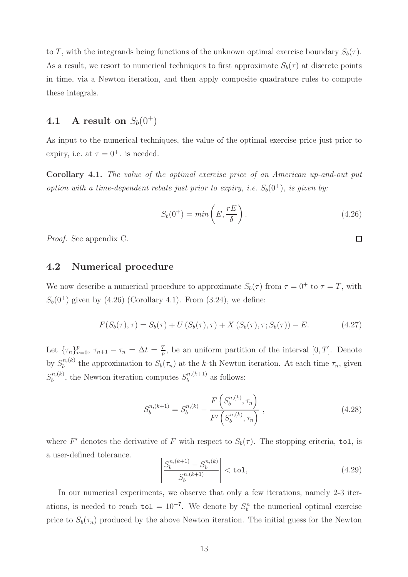to T, with the integrands being functions of the unknown optimal exercise boundary  $S_b(\tau)$ . As a result, we resort to numerical techniques to first approximate  $S_b(\tau)$  at discrete points in time, via a Newton iteration, and then apply composite quadrature rules to compute these integrals.

### 4.1 A result on  $S_b(0^+)$

As input to the numerical techniques, the value of the optimal exercise price just prior to expiry, i.e. at  $\tau = 0^+$ . is needed.

Corollary 4.1. The value of the optimal exercise price of an American up-and-out put option with a time-dependent rebate just prior to expiry, i.e.  $S_b(0^+)$ , is given by:

$$
S_b(0^+) = \min\left(E, \frac{rE}{\delta}\right). \tag{4.26}
$$

 $\Box$ 

Proof. See appendix C.

### 4.2 Numerical procedure

We now describe a numerical procedure to approximate  $S_b(\tau)$  from  $\tau = 0^+$  to  $\tau = T$ , with  $S_b(0^+)$  given by (4.26) (Corollary 4.1). From (3.24), we define:

$$
F(S_b(\tau), \tau) = S_b(\tau) + U(S_b(\tau), \tau) + X(S_b(\tau), \tau; S_b(\tau)) - E.
$$
 (4.27)

Let  ${\{\tau_n\}}_{n=0}^p$ ,  $\tau_{n+1} - \tau_n = \Delta t = \frac{T}{p}$  $\frac{T}{p}$ , be an uniform partition of the interval  $[0, T]$ . Denote by  $S_h^{n,(k)}$ <sup>n</sup>,<sup> $k$ </sup> the approximation to  $S_b(\tau_n)$  at the k-th Newton iteration. At each time  $\tau_n$ , given  $S_h^{n,(k)}$  $b_b^{(n)}$ , the Newton iteration computes  $S_b^{(n)}$  $b^{n,(\kappa+1)}$  as follows:

$$
S_b^{n,(k+1)} = S_b^{n,(k)} - \frac{F\left(S_b^{n,(k)}, \tau_n\right)}{F'\left(S_b^{n,(k)}, \tau_n\right)},\tag{4.28}
$$

where F' denotes the derivative of F with respect to  $S_b(\tau)$ . The stopping criteria, tol, is a user-defined tolerance.

$$
\left| \frac{S_b^{n,(k+1)} - S_b^{n,(k)}}{S_b^{n,(k+1)}} \right| < \text{tol},\tag{4.29}
$$

In our numerical experiments, we observe that only a few iterations, namely 2-3 iterations, is needed to reach  $\text{tol} = 10^{-7}$ . We denote by  $S_b^n$  the numerical optimal exercise price to  $S_b(\tau_n)$  produced by the above Newton iteration. The initial guess for the Newton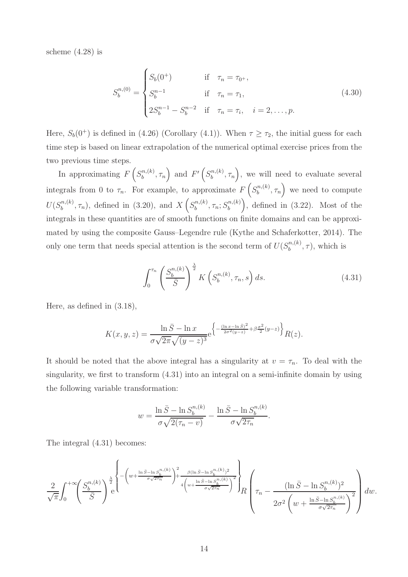scheme (4.28) is

$$
S_b^{n, (0)} = \begin{cases} S_b(0^+) & \text{if } \tau_n = \tau_{0^+}, \\ S_b^{n-1} & \text{if } \tau_n = \tau_1, \\ 2S_b^{n-1} - S_b^{n-2} & \text{if } \tau_n = \tau_i, \quad i = 2, \dots, p. \end{cases}
$$
(4.30)

Here,  $S_b(0^+)$  is defined in (4.26) (Corollary (4.1)). When  $\tau \geq \tau_2$ , the initial guess for each time step is based on linear extrapolation of the numerical optimal exercise prices from the two previous time steps.

In approximating  $F\left(S_h^{n,(k)}\right)$  $\binom{n(k)}{b}, \tau_n$  and  $F'\left(S_b^{n,(k)}\right)$  $\binom{n(k)}{b}, \tau_n$ , we will need to evaluate several integrals from 0 to  $\tau_n$ . For example, to approximate  $F\left(S_b^{n,(k)}\right)$  $\binom{n(k)}{b}, \tau_n$  we need to compute  $U(S_h^{n,(k)}$  $\binom{n(k)}{b}, \tau_n$ , defined in (3.20), and  $X\left(S_b^{n(k)}\right)$  $b^{(n,(k)}, \tau_n; S_b^{n,(k)}$  $\binom{n(k)}{b}$ , defined in (3.22). Most of the integrals in these quantities are of smooth functions on finite domains and can be approximated by using the composite Gauss–Legendre rule (Kythe and Schaferkotter, 2014). The only one term that needs special attention is the second term of  $U(S_h^{n,(k)})$  $b^{(n,(\kappa))}$ , which is

$$
\int_0^{\tau_n} \left(\frac{S_b^{n,(k)}}{\bar{S}}\right)^{\frac{\lambda}{2}} K\left(S_b^{n,(k)}, \tau_n, s\right) ds. \tag{4.31}
$$

Here, as defined in (3.18),

$$
K(x, y, z) = \frac{\ln \bar{S} - \ln x}{\sigma \sqrt{2\pi} \sqrt{(y - z)^3}} e^{\left\{ -\frac{(\ln x - \ln \bar{S})^2}{2\sigma^2 (y - z)} + \beta \frac{\sigma^2}{2} (y - z) \right\}} R(z).
$$

It should be noted that the above integral has a singularity at  $v = \tau_n$ . To deal with the singularity, we first to transform (4.31) into an integral on a semi-infinite domain by using the following variable transformation:

$$
w = \frac{\ln \bar{S} - \ln S_b^{n,(k)}}{\sigma \sqrt{2(\tau_n - v)}} - \frac{\ln \bar{S} - \ln S_b^{n,(k)}}{\sigma \sqrt{2\tau_n}}.
$$

The integral (4.31) becomes:

$$
\frac{2}{\sqrt{\pi}}\int_0^{+\infty}\!\!\left(\frac{S_b^{n,(k)}}{\bar{S}}\right)^{\frac{\lambda}{2}}\!\!\left(\!\!\!- \!\!\left(w+\frac{\ln\bar{S}-\ln S_b^{n,(k)}}{\sigma\sqrt{2\tau_n}}\!\right)^{\!\!\!2} \!\!\!+\!\frac{\beta(\ln\bar{S}-\ln S_b^{n,(k)})^2}{4\!\left(w+\frac{\ln\bar{S}-\ln S_b^{n,(k)}}{\sigma\sqrt{2\tau_n}}\right)^2}\right)_R\!\!\left(\tau_n-\frac{\left(\ln\bar{S}-\ln S_b^{n,(k)}\right)^2}{2\sigma^2\left(w+\frac{\ln\bar{S}-\ln S_b^{n,(k)}}{\sigma\sqrt{2\tau_n}}\right)^2}\right)dw.
$$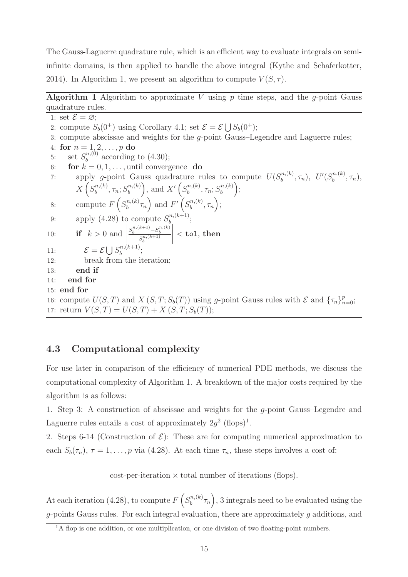The Gauss-Laguerre quadrature rule, which is an efficient way to evaluate integrals on semiinfinite domains, is then applied to handle the above integral (Kythe and Schaferkotter, 2014). In Algorithm 1, we present an algorithm to compute  $V(S, \tau)$ .

**Algorithm 1** Algorithm to approximate V using  $p$  time steps, and the  $q$ -point Gauss quadrature rules.

1: set  $\mathcal{E} = \emptyset$ ; 2: compute  $S_b(0^+)$  using Corollary 4.1; set  $\mathcal{E} = \mathcal{E} \bigcup S_b(0^+)$ ; 3: compute abscissae and weights for the g-point Gauss–Legendre and Laguerre rules; 4: for  $n = 1, 2, ..., p$  do 5: set  $S_h^{n,(0)}$  $b^{(n,(0))}$  according to (4.30); 6: for  $k = 0, 1, \ldots$ , until convergence do 7: apply g-point Gauss quadrature rules to compute  $U(S_h^{n,(k)})$  $b^{(n,(k)}, \tau_n), \; \; U'(S_b^{n,(k)})$  $\binom{n,(\kappa)}{b}, \tau_n$  $X\left(S_b^{n,(k)}\right)$  $b^{(n,(k)}, \tau_n; S_b^{n,(k)}$  $\binom{n(k)}{b}$ , and  $X'$   $\left(S_b^{n,(k)}\right)$  $b^{(n,(k)}, \tau_n; S_b^{n,(k)}$  $\binom{n,(k)}{b};$ 8: compute  $F\left(S_b^{n,(k)}\right)$  $\binom{n,(k)}{b}\tau_n$  and  $F'\left(S_b^{n,(k)}\right)$  $\binom{n,(k)}{b},\tau_n$  ; 9: apply (4.28) to compute  $S_h^{n,(k+1)}$  $\stackrel{(n,(k+1)}{b}$ 10: **if**  $k > 0$  and  $\begin{matrix} \phantom{-} \end{matrix}$  $S_b^{n,(k+1)} - S_b^{n,(k)}$  $S_b^{n,(k+1)}$   $<$  tol, then 11:  $\mathcal{E} = \mathcal{E} \bigcup S_b^{n,(k+1)}$  $\binom{n,(\kappa+1)}{b}$ ; 12: break from the iteration; 13: end if 14: end for 15: end for 16: compute  $U(S,T)$  and  $X(S,T; S_b(T))$  using g-point Gauss rules with  $\mathcal E$  and  $\{\tau_n\}_{n=0}^p$ ; 17: return  $V(S,T) = U(S,T) + X(S,T; S_b(T));$ 

### 4.3 Computational complexity

For use later in comparison of the efficiency of numerical PDE methods, we discuss the computational complexity of Algorithm 1. A breakdown of the major costs required by the algorithm is as follows:

1. Step 3: A construction of abscissae and weights for the g-point Gauss–Legendre and Laguerre rules entails a cost of approximately  $2g^2$  (flops)<sup>1</sup>.

2. Steps 6-14 (Construction of  $\mathcal{E}$ ): These are for computing numerical approximation to each  $S_b(\tau_n)$ ,  $\tau = 1, \ldots, p$  via (4.28). At each time  $\tau_n$ , these steps involves a cost of:

 $\cos t$ -per-iteration  $\times$  total number of iterations (flops).

At each iteration (4.28), to compute  $F\left(S_h^{n,(k)}\right)$  $\binom{n(k)}{b}\tau_n$ , 3 integrals need to be evaluated using the  $g$ -points Gauss rules. For each integral evaluation, there are approximately  $g$  additions, and

 ${}^{1}$ A flop is one addition, or one multiplication, or one division of two floating-point numbers.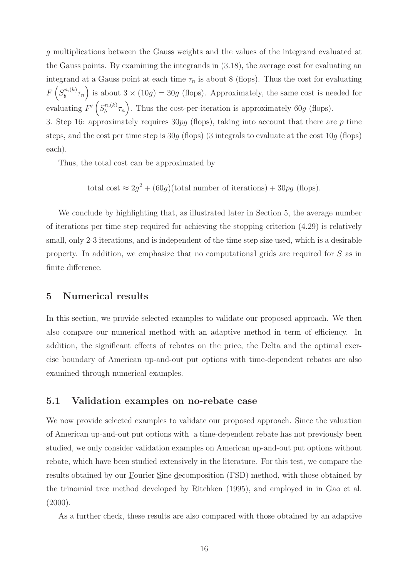g multiplications between the Gauss weights and the values of the integrand evaluated at the Gauss points. By examining the integrands in (3.18), the average cost for evaluating an integrand at a Gauss point at each time  $\tau_n$  is about 8 (flops). Thus the cost for evaluating  $F\left(S_b^{n,(k)}\right)$  $\binom{n(k)}{b}\tau_n$  is about  $3 \times (10g) = 30g$  (flops). Approximately, the same cost is needed for evaluating  $F'$   $\left(S_h^{n,(k)}\right)$  $\binom{n(k)}{b}\tau_n$ . Thus the cost-per-iteration is approximately 60g (flops). 3. Step 16: approximately requires  $30pg$  (flops), taking into account that there are p time steps, and the cost per time step is  $30q$  (flops) (3 integrals to evaluate at the cost  $10q$  (flops) each).

Thus, the total cost can be approximated by

total cost  $\approx 2g^2 + (60g)(\text{total number of iterations}) + 30pg (\text{flops}).$ 

We conclude by highlighting that, as illustrated later in Section 5, the average number of iterations per time step required for achieving the stopping criterion (4.29) is relatively small, only 2-3 iterations, and is independent of the time step size used, which is a desirable property. In addition, we emphasize that no computational grids are required for S as in finite difference.

### 5 Numerical results

In this section, we provide selected examples to validate our proposed approach. We then also compare our numerical method with an adaptive method in term of efficiency. In addition, the significant effects of rebates on the price, the Delta and the optimal exercise boundary of American up-and-out put options with time-dependent rebates are also examined through numerical examples.

### 5.1 Validation examples on no-rebate case

We now provide selected examples to validate our proposed approach. Since the valuation of American up-and-out put options with a time-dependent rebate has not previously been studied, we only consider validation examples on American up-and-out put options without rebate, which have been studied extensively in the literature. For this test, we compare the results obtained by our <u>Fourier Sine decomposition</u> (FSD) method, with those obtained by the trinomial tree method developed by Ritchken (1995), and employed in in Gao et al.  $(2000).$ 

As a further check, these results are also compared with those obtained by an adaptive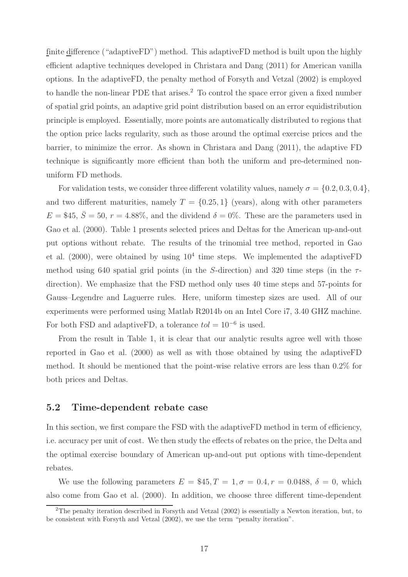finite difference ("adaptiveFD") method. This adaptiveFD method is built upon the highly efficient adaptive techniques developed in Christara and Dang (2011) for American vanilla options. In the adaptiveFD, the penalty method of Forsyth and Vetzal (2002) is employed to handle the non-linear PDE that arises.<sup>2</sup> To control the space error given a fixed number of spatial grid points, an adaptive grid point distribution based on an error equidistribution principle is employed. Essentially, more points are automatically distributed to regions that the option price lacks regularity, such as those around the optimal exercise prices and the barrier, to minimize the error. As shown in Christara and Dang (2011), the adaptive FD technique is significantly more efficient than both the uniform and pre-determined nonuniform FD methods.

For validation tests, we consider three different volatility values, namely  $\sigma = \{0.2, 0.3, 0.4\},\$ and two different maturities, namely  $T = \{0.25, 1\}$  (years), along with other parameters  $E = $45, \overline{S} = 50, r = 4.88\%,$  and the dividend  $\delta = 0\%$ . These are the parameters used in Gao et al. (2000). Table 1 presents selected prices and Deltas for the American up-and-out put options without rebate. The results of the trinomial tree method, reported in Gao et al.  $(2000)$ , were obtained by using  $10<sup>4</sup>$  time steps. We implemented the adaptive FD method using 640 spatial grid points (in the S-direction) and 320 time steps (in the  $\tau$ direction). We emphasize that the FSD method only uses 40 time steps and 57-points for Gauss–Legendre and Laguerre rules. Here, uniform timestep sizes are used. All of our experiments were performed using Matlab R2014b on an Intel Core i7, 3.40 GHZ machine. For both FSD and adaptiveFD, a tolerance  $tol = 10^{-6}$  is used.

From the result in Table 1, it is clear that our analytic results agree well with those reported in Gao et al. (2000) as well as with those obtained by using the adaptiveFD method. It should be mentioned that the point-wise relative errors are less than 0.2% for both prices and Deltas.

### 5.2 Time-dependent rebate case

In this section, we first compare the FSD with the adaptiveFD method in term of efficiency, i.e. accuracy per unit of cost. We then study the effects of rebates on the price, the Delta and the optimal exercise boundary of American up-and-out put options with time-dependent rebates.

We use the following parameters  $E = $45, T = 1, \sigma = 0.4, r = 0.0488, \delta = 0$ , which also come from Gao et al. (2000). In addition, we choose three different time-dependent

<sup>&</sup>lt;sup>2</sup>The penalty iteration described in Forsyth and Vetzal  $(2002)$  is essentially a Newton iteration, but, to be consistent with Forsyth and Vetzal (2002), we use the term "penalty iteration".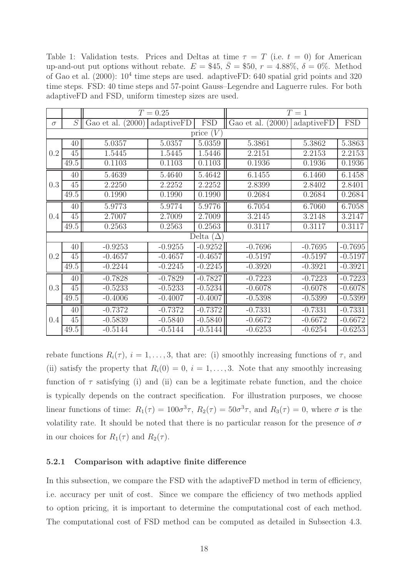Table 1: Validation tests. Prices and Deltas at time  $\tau = T$  (i.e.  $t = 0$ ) for American up-and-out put options without rebate.  $E = $45, \overline{S} = $50, r = 4.88\%, \delta = 0\%$ . Method of Gao et al. (2000): 10<sup>4</sup> time steps are used. adaptiveFD: 640 spatial grid points and 320 time steps. FSD: 40 time steps and 57-point Gauss–Legendre and Laguerre rules. For both adaptiveFD and FSD, uniform timestep sizes are used.

|                     |                 |                      | $T = 0.25$ |            | $T=1$                |            |            |  |  |  |  |  |  |
|---------------------|-----------------|----------------------|------------|------------|----------------------|------------|------------|--|--|--|--|--|--|
| $\sigma$            | S               | Gao et al.<br>(2000) | adaptiveFD | <b>FSD</b> | (2000)<br>Gao et al. | adaptiveFD | <b>FSD</b> |  |  |  |  |  |  |
| (V)<br>price        |                 |                      |            |            |                      |            |            |  |  |  |  |  |  |
| 0.2                 | 40              | 5.0357               | 5.0357     | 5.0359     | 5.3861               | 5.3862     | 5.3863     |  |  |  |  |  |  |
|                     | $\overline{45}$ | 1.5445               | 1.5445     | 1.5446     | 2.2151               | 2.2153     | 2.2153     |  |  |  |  |  |  |
|                     | 49.5            | 0.1103               | 0.1103     | 0.1103     | 0.1936               | 0.1936     | 0.1936     |  |  |  |  |  |  |
| 0.3                 | 40              | 5.4639               | 5.4640     | 5.4642     | 6.1455               | 6.1460     | 6.1458     |  |  |  |  |  |  |
|                     | $\overline{45}$ | 2.2250               | 2.2252     | 2.2252     | 2.8399               | 2.8402     | 2.8401     |  |  |  |  |  |  |
|                     | 49.5            | 0.1990               | 0.1990     | 0.1990     | 0.2684               | 0.2684     | 0.2684     |  |  |  |  |  |  |
| 0.4                 | 40              | 5.9773               | 5.9774     | 5.9776     | 6.7054               | 6.7060     | 6.7058     |  |  |  |  |  |  |
|                     | 45              | 2.7007               | 2.7009     | 2.7009     | 3.2145               | 3.2148     | 3.2147     |  |  |  |  |  |  |
|                     | 49.5            | 0.2563               | 0.2563     | 0.2563     | 0.3117               | 0.3117     | 0.3117     |  |  |  |  |  |  |
| Delta<br>$(\Delta)$ |                 |                      |            |            |                      |            |            |  |  |  |  |  |  |
| 0.2                 | 40              | $-0.9253$            | $-0.9255$  | $-0.9252$  | $-0.7696$            | $-0.7695$  | $-0.7695$  |  |  |  |  |  |  |
|                     | 45              | $-0.4657$            | $-0.4657$  | $-0.4657$  | $-0.5197$            | $-0.5197$  | $-0.5197$  |  |  |  |  |  |  |
|                     | 49.5            | $-0.2244$            | $-0.2245$  | $-0.2245$  | $-0.3920$            | $-0.3921$  | $-0.3921$  |  |  |  |  |  |  |
| 0.3                 | 40              | $-0.7828$            | $-0.7829$  | $-0.7827$  | $-0.7223$            | $-0.7223$  | $-0.7223$  |  |  |  |  |  |  |
|                     | 45              | $-0.5233$            | $-0.5233$  | $-0.5234$  | $-0.6078$            | $-0.6078$  | $-0.6078$  |  |  |  |  |  |  |
|                     | 49.5            | $-0.4006$            | $-0.4007$  | $-0.4007$  | $-0.5398$            | $-0.5399$  | $-0.5399$  |  |  |  |  |  |  |
| 0.4                 | 40              | $-0.7372$            | $-0.7372$  | $-0.7372$  | $-0.7331$            | $-0.7331$  | $-0.7331$  |  |  |  |  |  |  |
|                     | $\overline{45}$ | $-0.5839$            | $-0.5840$  | $-0.5840$  | $-0.6672$            | $-0.6672$  | $-0.6672$  |  |  |  |  |  |  |
|                     | 49.5            | $-0.5144$            | $-0.5144$  | $-0.5144$  | $-0.6253$            | $-0.6254$  | $-0.6253$  |  |  |  |  |  |  |

rebate functions  $R_i(\tau)$ ,  $i = 1, \ldots, 3$ , that are: (i) smoothly increasing functions of  $\tau$ , and (ii) satisfy the property that  $R_i(0) = 0, i = 1, \ldots, 3$ . Note that any smoothly increasing function of  $\tau$  satisfying (i) and (ii) can be a legitimate rebate function, and the choice is typically depends on the contract specification. For illustration purposes, we choose linear functions of time:  $R_1(\tau) = 100\sigma^3\tau$ ,  $R_2(\tau) = 50\sigma^3\tau$ , and  $R_3(\tau) = 0$ , where  $\sigma$  is the volatility rate. It should be noted that there is no particular reason for the presence of  $\sigma$ in our choices for  $R_1(\tau)$  and  $R_2(\tau)$ .

### 5.2.1 Comparison with adaptive finite difference

In this subsection, we compare the FSD with the adaptiveFD method in term of efficiency, i.e. accuracy per unit of cost. Since we compare the efficiency of two methods applied to option pricing, it is important to determine the computational cost of each method. The computational cost of FSD method can be computed as detailed in Subsection 4.3.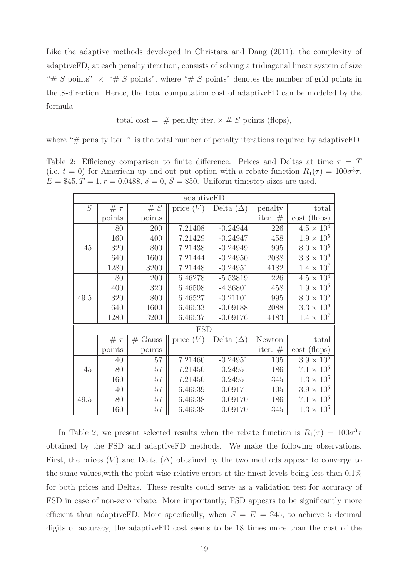Like the adaptive methods developed in Christara and Dang (2011), the complexity of adaptiveFD, at each penalty iteration, consists of solving a tridiagonal linear system of size "# S points"  $\times$  "# S points", where "# S points" denotes the number of grid points in the S-direction. Hence, the total computation cost of adaptiveFD can be modeled by the formula

total cost = 
$$
\#
$$
 penalty iter.  $\times \# S$  points (flops),

where "# penalty iter." is the total number of penalty iterations required by adaptiveFD.

Table 2: Efficiency comparison to finite difference. Prices and Deltas at time  $\tau = T$ (i.e.  $t = 0$ ) for American up-and-out put option with a rebate function  $R_1(\tau) = 100\sigma^3 \tau$ .  $E = $45, T = 1, r = 0.0488, \delta = 0, \bar{S} = $50.$  Uniform timestep sizes are used.

| adaptive FD |              |           |             |                  |           |                          |  |  |  |  |
|-------------|--------------|-----------|-------------|------------------|-----------|--------------------------|--|--|--|--|
| ${\cal S}$  | # $\tau$     | # S       | price $(V)$ | Delta $(\Delta)$ | penalty   | total                    |  |  |  |  |
|             | $\rm points$ | points    |             |                  | iter. $#$ | $cost$ (flops)           |  |  |  |  |
|             | 80           | 200       | 7.21408     | $-0.24944$       | 226       | $4.5 \times 10^{4}$      |  |  |  |  |
|             | 160          | 400       | 7.21429     | $-0.24947$       | 458       | $1.9 \times 10^{5}$      |  |  |  |  |
| 45          | 320          | 800       | 7.21438     | $-0.24949$       | 995       | $8.0 \times 10^{5}$      |  |  |  |  |
|             | 640          | 1600      | 7.21444     | $-0.24950$       | 2088      | $3.3 \times 10^{6}$      |  |  |  |  |
|             | 1280         | 3200      | 7.21448     | $-0.24951$       | 4182      | $1.4 \times 10^{7}$      |  |  |  |  |
|             | 80           | 200       | 6.46278     | $-5.53819$       | 226       | $4.5 \times 10^{4}$      |  |  |  |  |
|             | 400          | 320       | 6.46508     | $-4.36801$       | 458       | $1.9 \times 10^{5}$      |  |  |  |  |
| 49.5        | 320          | 800       | 6.46527     | $-0.21101$       | 995       | $8.0 \times 10^{5}$      |  |  |  |  |
|             | 640          | 1600      | 6.46533     | $-0.09188$       | 2088      | $3.3 \times 10^{6}$      |  |  |  |  |
|             | 1280         | 3200      | 6.46537     | $-0.09176$       | 4183      | $1.4 \times 10^{7}$      |  |  |  |  |
| <b>FSD</b>  |              |           |             |                  |           |                          |  |  |  |  |
|             | # $\tau$     | $#$ Gauss | price $(V)$ | Delta $(\Delta)$ | Newton    | total                    |  |  |  |  |
|             | points       | points    |             |                  | iter. $#$ | $(\text{flops})$<br>cost |  |  |  |  |
|             | 40           | 57        | 7.21460     | $-0.24951$       | 105       | $3.9 \times 10^5$        |  |  |  |  |
| 45          | 80           | 57        | 7.21450     | $-0.24951$       | 186       | $7.1 \times 10^{5}$      |  |  |  |  |
|             | 160          | 57        | 7.21450     | $-0.24951$       | 345       | $1.3 \times 10^{6}$      |  |  |  |  |
|             | 40           | 57        | 6.46539     | $-0.09171$       | 105       | $3.9 \times 10^{5}$      |  |  |  |  |
| 49.5        | 80           | 57        | 6.46538     | $-0.09170$       | 186       | $7.1 \times 10^{5}$      |  |  |  |  |
|             | 160          | 57        | 6.46538     | $-0.09170$       | 345       | $1.3 \times 10^{6}$      |  |  |  |  |

In Table 2, we present selected results when the rebate function is  $R_1(\tau) = 100\sigma^3\tau$ obtained by the FSD and adaptiveFD methods. We make the following observations. First, the prices (V) and Delta  $(\Delta)$  obtained by the two methods appear to converge to the same values, with the point-wise relative errors at the finest levels being less than  $0.1\%$ for both prices and Deltas. These results could serve as a validation test for accuracy of FSD in case of non-zero rebate. More importantly, FSD appears to be significantly more efficient than adaptiveFD. More specifically, when  $S = E = $45$ , to achieve 5 decimal digits of accuracy, the adaptiveFD cost seems to be 18 times more than the cost of the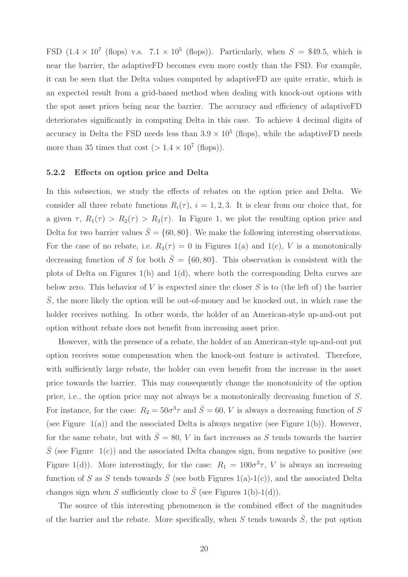FSD  $(1.4 \times 10^7 \text{ (flops)} \text{ v.s. } 7.1 \times 10^5 \text{ (flops)}).$  Particularly, when  $S = \$49.5$ , which is near the barrier, the adaptiveFD becomes even more costly than the FSD. For example, it can be seen that the Delta values computed by adaptiveFD are quite erratic, which is an expected result from a grid-based method when dealing with knock-out options with the spot asset prices being near the barrier. The accuracy and efficiency of adaptiveFD deteriorates significantly in computing Delta in this case. To achieve 4 decimal digits of accuracy in Delta the FSD needs less than  $3.9 \times 10^5$  (flops), while the adaptiveFD needs more than 35 times that cost ( $> 1.4 \times 10^7$  (flops)).

#### 5.2.2 Effects on option price and Delta

In this subsection, we study the effects of rebates on the option price and Delta. We consider all three rebate functions  $R_i(\tau)$ ,  $i = 1, 2, 3$ . It is clear from our choice that, for a given  $\tau$ ,  $R_1(\tau) > R_2(\tau) > R_3(\tau)$ . In Figure 1, we plot the resulting option price and Delta for two barrier values  $\bar{S} = \{60, 80\}$ . We make the following interesting observations. For the case of no rebate, i.e.  $R_3(\tau) = 0$  in Figures 1(a) and 1(c), V is a monotonically decreasing function of S for both  $\overline{S} = \{60, 80\}$ . This observation is consistent with the plots of Delta on Figures 1(b) and 1(d), where both the corresponding Delta curves are below zero. This behavior of  $V$  is expected since the closer  $S$  is to (the left of) the barrier  $\overline{S}$ , the more likely the option will be out-of-money and be knocked out, in which case the holder receives nothing. In other words, the holder of an American-style up-and-out put option without rebate does not benefit from increasing asset price.

However, with the presence of a rebate, the holder of an American-style up-and-out put option receives some compensation when the knock-out feature is activated. Therefore, with sufficiently large rebate, the holder can even benefit from the increase in the asset price towards the barrier. This may consequently change the monotonicity of the option price, i.e., the option price may not always be a monotonically decreasing function of S. For instance, for the case:  $R_2 = 50\sigma^3 \tau$  and  $\overline{S} = 60$ , V is always a decreasing function of S (see Figure  $1(a)$ ) and the associated Delta is always negative (see Figure 1(b)). However, for the same rebate, but with  $\overline{S} = 80, V$  in fact increases as S tends towards the barrier S (see Figure  $1(c)$ ) and the associated Delta changes sign, from negative to positive (see Figure 1(d)). More interestingly, for the case:  $R_1 = 100\sigma^3 \tau$ , V is always an increasing function of S as S tends towards  $\overline{S}$  (see both Figures 1(a)-1(c)), and the associated Delta changes sign when S sufficiently close to  $\overline{S}$  (see Figures 1(b)-1(d)).

The source of this interesting phenomenon is the combined effect of the magnitudes of the barrier and the rebate. More specifically, when  $S$  tends towards  $\overline{S}$ , the put option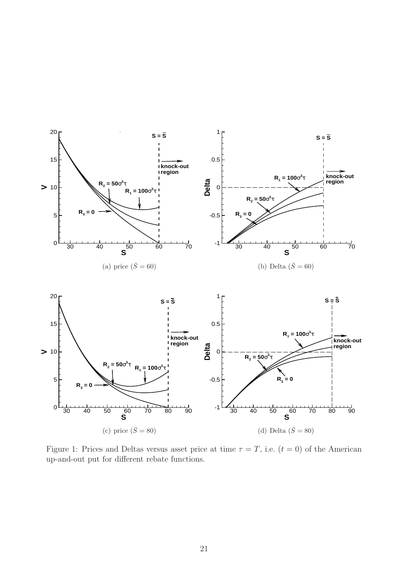

Figure 1: Prices and Deltas versus asset price at time  $\tau = T$ , i.e.  $(t = 0)$  of the American up-and-out put for different rebate functions.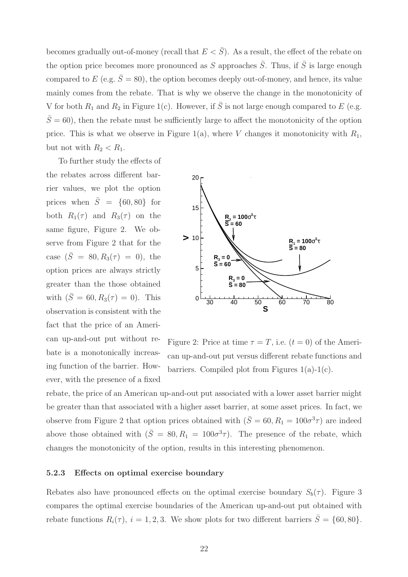becomes gradually out-of-money (recall that  $E < \overline{S}$ ). As a result, the effect of the rebate on the option price becomes more pronounced as S approaches  $\overline{S}$ . Thus, if  $\overline{S}$  is large enough compared to E (e.g.  $\bar{S} = 80$ ), the option becomes deeply out-of-money, and hence, its value mainly comes from the rebate. That is why we observe the change in the monotonicity of V for both  $R_1$  and  $R_2$  in Figure 1(c). However, if  $\overline{S}$  is not large enough compared to E (e.g.  $\overline{S}=60$ , then the rebate must be sufficiently large to affect the monotonicity of the option price. This is what we observe in Figure 1(a), where V changes it monotonicity with  $R_1$ , but not with  $R_2 < R_1$ .

To further study the effects of the rebates across different barrier values, we plot the option prices when  $\overline{S}$  = {60,80} for both  $R_1(\tau)$  and  $R_3(\tau)$  on the same figure, Figure 2. We observe from Figure 2 that for the case  $(\bar{S} = 80, R_3(\tau) = 0)$ , the option prices are always strictly greater than the those obtained with  $(\bar{S} = 60, R_3(\tau) = 0)$ . This observation is consistent with the fact that the price of an American up-and-out put without rebate is a monotonically increasing function of the barrier. However, with the presence of a fixed



Figure 2: Price at time  $\tau = T$ , i.e.  $(t = 0)$  of the American up-and-out put versus different rebate functions and barriers. Compiled plot from Figures  $1(a)-1(c)$ .

rebate, the price of an American up-and-out put associated with a lower asset barrier might be greater than that associated with a higher asset barrier, at some asset prices. In fact, we observe from Figure 2 that option prices obtained with  $(\bar{S} = 60, R_1 = 100\sigma^3 \tau)$  are indeed above those obtained with  $(\bar{S} = 80, R_1 = 100\sigma^3 \tau)$ . The presence of the rebate, which changes the monotonicity of the option, results in this interesting phenomenon.

#### 5.2.3 Effects on optimal exercise boundary

Rebates also have pronounced effects on the optimal exercise boundary  $S_b(\tau)$ . Figure 3 compares the optimal exercise boundaries of the American up-and-out put obtained with rebate functions  $R_i(\tau)$ ,  $i = 1, 2, 3$ . We show plots for two different barriers  $\bar{S} = \{60, 80\}.$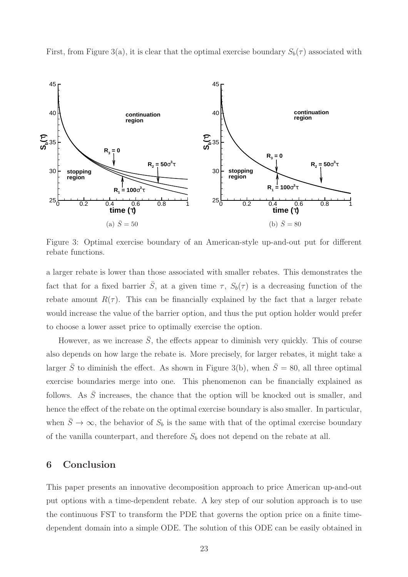

First, from Figure 3(a), it is clear that the optimal exercise boundary  $S_b(\tau)$  associated with

Figure 3: Optimal exercise boundary of an American-style up-and-out put for different rebate functions.

a larger rebate is lower than those associated with smaller rebates. This demonstrates the fact that for a fixed barrier  $\bar{S}$ , at a given time  $\tau$ ,  $S_b(\tau)$  is a decreasing function of the rebate amount  $R(\tau)$ . This can be financially explained by the fact that a larger rebate would increase the value of the barrier option, and thus the put option holder would prefer to choose a lower asset price to optimally exercise the option.

However, as we increase  $\overline{S}$ , the effects appear to diminish very quickly. This of course also depends on how large the rebate is. More precisely, for larger rebates, it might take a larger  $\bar{S}$  to diminish the effect. As shown in Figure 3(b), when  $\bar{S} = 80$ , all three optimal exercise boundaries merge into one. This phenomenon can be financially explained as follows. As  $\overline{S}$  increases, the chance that the option will be knocked out is smaller, and hence the effect of the rebate on the optimal exercise boundary is also smaller. In particular, when  $\bar{S} \to \infty$ , the behavior of  $S_b$  is the same with that of the optimal exercise boundary of the vanilla counterpart, and therefore  $S_b$  does not depend on the rebate at all.

### 6 Conclusion

This paper presents an innovative decomposition approach to price American up-and-out put options with a time-dependent rebate. A key step of our solution approach is to use the continuous FST to transform the PDE that governs the option price on a finite timedependent domain into a simple ODE. The solution of this ODE can be easily obtained in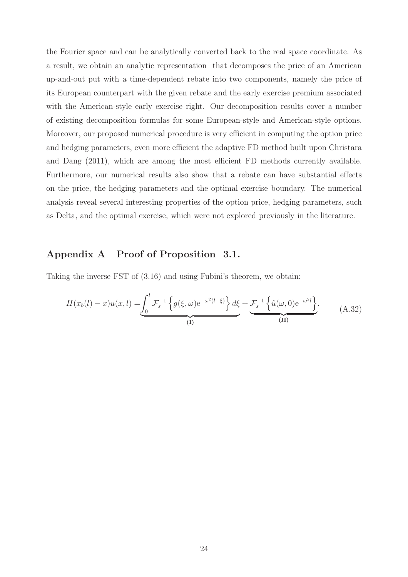the Fourier space and can be analytically converted back to the real space coordinate. As a result, we obtain an analytic representation that decomposes the price of an American up-and-out put with a time-dependent rebate into two components, namely the price of its European counterpart with the given rebate and the early exercise premium associated with the American-style early exercise right. Our decomposition results cover a number of existing decomposition formulas for some European-style and American-style options. Moreover, our proposed numerical procedure is very efficient in computing the option price and hedging parameters, even more efficient the adaptive FD method built upon Christara and Dang (2011), which are among the most efficient FD methods currently available. Furthermore, our numerical results also show that a rebate can have substantial effects on the price, the hedging parameters and the optimal exercise boundary. The numerical analysis reveal several interesting properties of the option price, hedging parameters, such as Delta, and the optimal exercise, which were not explored previously in the literature.

### Appendix A Proof of Proposition 3.1.

Taking the inverse FST of (3.16) and using Fubini's theorem, we obtain:

$$
H(x_b(l) - x)u(x, l) = \underbrace{\int_0^l \mathcal{F}_s^{-1} \left\{ g(\xi, \omega) e^{-\omega^2(l-\xi)} \right\} d\xi}_{(I)} + \underbrace{\mathcal{F}_s^{-1} \left\{ \hat{u}(\omega, 0) e^{-\omega^2 l} \right\}}_{(II)}.
$$
 (A.32)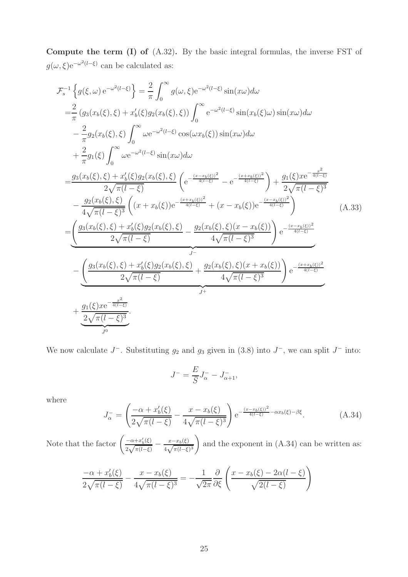Compute the term (I) of (A.32). By the basic integral formulas, the inverse FST of  $g(\omega,\xi)e^{-\omega^2(l-\xi)}$  can be calculated as:

$$
\mathcal{F}_{s}^{-1}\left\{g(\xi,\omega)e^{-\omega^{2}(l-\xi)}\right\} = \frac{2}{\pi}\int_{0}^{\infty}g(\omega,\xi)e^{-\omega^{2}(l-\xi)}\sin(x\omega)d\omega
$$
\n
$$
= \frac{2}{\pi}\left(g_{3}(x_{b}(\xi),\xi)+x'_{b}(\xi)g_{2}(x_{b}(\xi),\xi)\right)\int_{0}^{\infty}e^{-\omega^{2}(l-\xi)}\sin(x_{b}(\xi)\omega)\sin(x\omega)d\omega
$$
\n
$$
- \frac{2}{\pi}g_{2}(x_{b}(\xi),\xi)\int_{0}^{\infty}\omega e^{-\omega^{2}(l-\xi)}\cos(\omega x_{b}(\xi))\sin(x\omega)d\omega
$$
\n
$$
+ \frac{2}{\pi}g_{1}(\xi)\int_{0}^{\infty}\omega e^{-\omega^{2}(l-\xi)}\sin(\omega\omega)d\omega
$$
\n
$$
= \frac{g_{3}(x_{b}(\xi),\xi)+x'_{b}(\xi)g_{2}(x_{b}(\xi),\xi)}{2\sqrt{\pi(l-\xi)}}\left(e^{-\frac{(x-x_{b}(\xi))^{2}}{4(l-\xi)}}-e^{-\frac{(x+x_{b}(\xi))^{2}}{4(l-\xi)}}\right)+\frac{g_{1}(\xi)x e^{-\frac{x^{2}}{4(l-\xi)}}}{4\sqrt{\pi(l-\xi)^{3}}}
$$
\n
$$
- \frac{g_{2}(x_{b}(\xi),\xi)}{4\sqrt{\pi(l-\xi)^{3}}}\left((x+x_{b}(\xi))e^{-\frac{(x+x_{b}(\xi))^{2}}{4(l-\xi)}}+(x-x_{b}(\xi))e^{-\frac{(x-x_{b}(\xi))^{2}}{4(l-\xi)}}\right)e^{-\frac{(x-x_{b}(\xi))^{2}}{4(l-\xi)}}
$$
\n
$$
- \frac{\left(g_{3}(x_{b}(\xi),\xi)+x'_{b}(\xi)g_{2}(x_{b}(\xi),\xi)}{2\sqrt{\pi(l-\xi)}}-\frac{g_{2}(x_{b}(\xi),\xi)(x+x_{b}(\xi))}{4\sqrt{\pi(l-\xi)^{3}}}\right)e^{-\frac{(x+x_{b}(\xi))^{2}}{4(l-\xi)}}
$$
\n
$$
- \frac{\left(g_{3}(x_{b}(\xi),\xi)+x'_{b}(\xi)g_{2}(x_{b}(\xi),\xi)}{2\sqrt{\pi(l-\xi
$$

We now calculate  $J^-$ . Substituting  $g_2$  and  $g_3$  given in (3.8) into  $J^-$ , we can split  $J^-$  into:

$$
J^{-} = \frac{E}{\overline{S}} J_{\alpha}^{-} - J_{\alpha+1}^{-},
$$

where

$$
J_{\alpha}^{-} = \left(\frac{-\alpha + x_b'(\xi)}{2\sqrt{\pi(l-\xi)}} - \frac{x - x_b(\xi)}{4\sqrt{\pi(l-\xi)^3}}\right) e^{-\frac{(x - x_b(\xi))^2}{4(l-\xi)} - \alpha x_b(\xi) - \beta \xi}.
$$
 (A.34)

Note that the factor  $\left(\frac{-\alpha + x'_b(\xi)}{2\sqrt{\mu^2 + x'_b(\xi)}}\right)$  $\frac{-\alpha+x'_b(\xi)}{2\sqrt{\pi(l-\xi)}}-\frac{x-x_b(\xi)}{4\sqrt{\pi(l-\xi)}}$  $\frac{x}{4\sqrt{\pi (l-\xi)^3}}$  $\setminus$ and the exponent in (A.34) can be written as:

$$
\frac{-\alpha + x'_b(\xi)}{2\sqrt{\pi(l-\xi)}} - \frac{x - x_b(\xi)}{4\sqrt{\pi(l-\xi)^3}} = -\frac{1}{\sqrt{2\pi}} \frac{\partial}{\partial \xi} \left( \frac{x - x_b(\xi) - 2\alpha(l-\xi)}{\sqrt{2(l-\xi)}} \right)
$$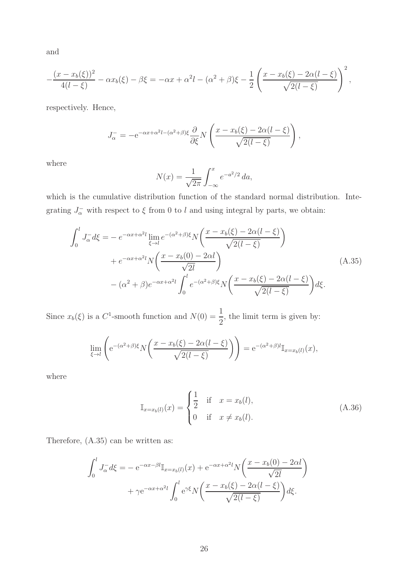and

$$
-\frac{(x-x_b(\xi))^2}{4(l-\xi)}-\alpha x_b(\xi)-\beta\xi=-\alpha x+\alpha^2l-(\alpha^2+\beta)\xi-\frac{1}{2}\left(\frac{x-x_b(\xi)-2\alpha(l-\xi)}{\sqrt{2(l-\xi)}}\right)^2,
$$

respectively. Hence,

$$
J_{\alpha}^- = -e^{-\alpha x + \alpha^2 l - (\alpha^2 + \beta)\xi} \frac{\partial}{\partial \xi} N \left( \frac{x - x_b(\xi) - 2\alpha (l - \xi)}{\sqrt{2(l - \xi)}} \right),
$$

where

$$
N(x) = \frac{1}{\sqrt{2\pi}} \int_{-\infty}^{x} e^{-a^2/2} da,
$$

which is the cumulative distribution function of the standard normal distribution. Integrating  $J_{\alpha}^-$  with respect to  $\xi$  from 0 to l and using integral by parts, we obtain:

$$
\int_0^l J_\alpha^- d\xi = -e^{-\alpha x + \alpha^2 l} \lim_{\xi \to l} e^{-(\alpha^2 + \beta)\xi} N\left(\frac{x - x_b(\xi) - 2\alpha(l - \xi)}{\sqrt{2(l - \xi)}}\right)
$$
  
+ 
$$
e^{-\alpha x + \alpha^2 l} N\left(\frac{x - x_b(0) - 2\alpha l}{\sqrt{2l}}\right)
$$

$$
- (\alpha^2 + \beta)e^{-\alpha x + \alpha^2 l} \int_0^l e^{-(\alpha^2 + \beta)\xi} N\left(\frac{x - x_b(\xi) - 2\alpha(l - \xi)}{\sqrt{2(l - \xi)}}\right) d\xi.
$$
(A.35)

Since  $x_b(\xi)$  is a C<sup>1</sup>-smooth function and  $N(0) = \frac{1}{2}$ 2 , the limit term is given by:

$$
\lim_{\xi \to l} \left( e^{-(\alpha^2 + \beta)\xi} N\left(\frac{x - x_b(\xi) - 2\alpha(l - \xi)}{\sqrt{2(l - \xi)}}\right) \right) = e^{-(\alpha^2 + \beta)l} \mathbb{I}_{x = x_b(l)}(x),
$$

where

$$
\mathbb{I}_{x=x_b(l)}(x) = \begin{cases} \frac{1}{2} & \text{if } x = x_b(l), \\ 0 & \text{if } x \neq x_b(l). \end{cases}
$$
 (A.36)

Therefore, (A.35) can be written as:

$$
\int_0^l J_\alpha^- d\xi = -e^{-\alpha x - \beta l} \mathbb{I}_{x=x_b(l)}(x) + e^{-\alpha x + \alpha^2 l} N\left(\frac{x - x_b(0) - 2\alpha l}{\sqrt{2l}}\right)
$$

$$
+ \gamma e^{-\alpha x + \alpha^2 l} \int_0^l e^{\gamma \xi} N\left(\frac{x - x_b(\xi) - 2\alpha (l - \xi)}{\sqrt{2(l - \xi)}}\right) d\xi.
$$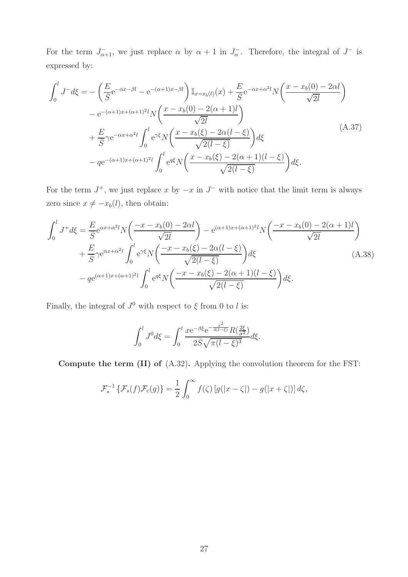For the term  $J_{\alpha+1}^-$ , we just replace  $\alpha$  by  $\alpha+1$  in  $J_{\alpha}^-$ . Therefore, the integral of  $J^-$  is expressed by:

$$
\int_{0}^{l} J^{-}d\xi = -\left(\frac{E}{\overline{S}}e^{-\alpha x - \beta l} - e^{-(\alpha+1)x - \beta l}\right) \mathbb{I}_{x=x_{b}(l)}(x) + \frac{E}{\overline{S}}e^{-\alpha x + \alpha^{2}l} N\left(\frac{x - x_{b}(0) - 2\alpha l}{\sqrt{2l}}\right) \n- e^{-(\alpha+1)x + (\alpha+1)^{2}l} N\left(\frac{x - x_{b}(0) - 2(\alpha+1)l}{\sqrt{2l}}\right) \n+ \frac{E}{\overline{S}}\gamma e^{-\alpha x + \alpha^{2}l} \int_{0}^{l} e^{\gamma \xi} N\left(\frac{x - x_{b}(\xi) - 2\alpha(l - \xi)}{\sqrt{2(l - \xi)}}\right) d\xi \n- q e^{-(\alpha+1)x + (\alpha+1)^{2}l} \int_{0}^{l} e^{q\xi} N\left(\frac{x - x_{b}(\xi) - 2(\alpha+1)(l - \xi)}{\sqrt{2(l - \xi)}}\right) d\xi.
$$
\n(A.37)

For the term  $J^+$ , we just replace x by  $-x$  in  $J^-$  with notice that the limit term is always zero since  $x \neq -x_b(l)$ , then obtain:

$$
\int_{0}^{l} J^{+} d\xi = \frac{E}{\bar{S}} e^{\alpha x + \alpha^{2}l} N \left( \frac{-x - x_{b}(0) - 2\alpha l}{\sqrt{2l}} \right) - e^{(\alpha + 1)x + (\alpha + 1)^{2}l} N \left( \frac{-x - x_{b}(0) - 2(\alpha + 1)l}{\sqrt{2l}} \right) \n+ \frac{E}{\bar{S}} \gamma e^{\alpha x + \alpha^{2}l} \int_{0}^{l} e^{\gamma \xi} N \left( \frac{-x - x_{b}(\xi) - 2\alpha (l - \xi)}{\sqrt{2(l - \xi)}} \right) d\xi \n- q e^{(\alpha + 1)x + (\alpha + 1)^{2}l} \int_{0}^{l} e^{q\xi} N \left( \frac{-x - x_{b}(\xi) - 2(\alpha + 1)(l - \xi)}{\sqrt{2(l - \xi)}} \right) d\xi.
$$
\n(A.38)

Finally, the integral of  $J^0$  with respect to  $\xi$  from 0 to l is:

$$
\int_0^l J^0 d\xi = \int_0^l \frac{xe^{-\beta\xi}e^{-\frac{x^2}{4(l-\xi)}}R(\frac{2\xi}{\sigma^2})}{2\bar{S}\sqrt{\pi(l-\xi)^3}}d\xi.
$$

Compute the term (II) of (A.32). Applying the convolution theorem for the FST:

$$
\mathcal{F}_s^{-1}\left\{\mathcal{F}_s(f)\mathcal{F}_c(g)\right\} = \frac{1}{2}\int_0^\infty f(\zeta)\left[g(|x-\zeta|) - g(|x+\zeta|)\right]d\zeta,
$$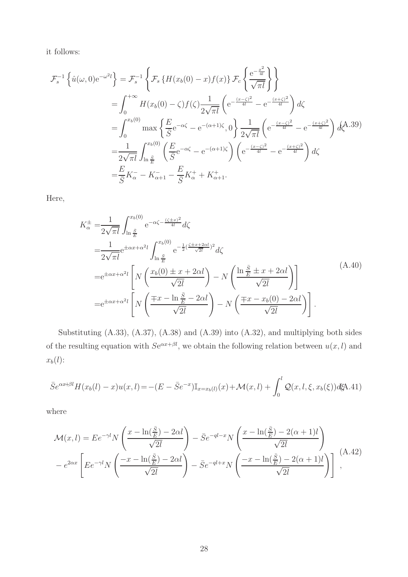it follows:

$$
\mathcal{F}_{s}^{-1}\left\{\hat{u}(\omega,0)e^{-\omega^{2}l}\right\} = \mathcal{F}_{s}^{-1}\left\{\mathcal{F}_{s}\left\{H(x_{b}(0)-x)f(x)\right\}\mathcal{F}_{c}\left\{\frac{e^{-\frac{x^{2}}{4l}}}{\sqrt{\pi l}}\right\}\right\}
$$
\n
$$
= \int_{0}^{+\infty} H(x_{b}(0)-\zeta)f(\zeta)\frac{1}{2\sqrt{\pi l}}\left(e^{-\frac{(x-\zeta)^{2}}{4l}}-e^{-\frac{(x+\zeta)^{2}}{4l}}\right)d\zeta
$$
\n
$$
= \int_{0}^{x_{b}(0)} \max\left\{\frac{E}{\overline{S}}e^{-\alpha\zeta}-e^{-(\alpha+1)\zeta},0\right\}\frac{1}{2\sqrt{\pi l}}\left(e^{-\frac{(x-\zeta)^{2}}{4l}}-e^{-\frac{(x+\zeta)^{2}}{4l}}\right)d\zeta^{4.39}
$$
\n
$$
= \frac{1}{2\sqrt{\pi l}}\int_{\ln\frac{\overline{S}}{E}}^{x_{b}(0)}\left(\frac{E}{\overline{S}}e^{-\alpha\zeta}-e^{-(\alpha+1)\zeta}\right)\left(e^{-\frac{(x-\zeta)^{2}}{4l}}-e^{-\frac{(x+\zeta)^{2}}{4l}}\right)d\zeta
$$
\n
$$
= \frac{E}{\overline{S}}K_{\alpha}^{-}-K_{\alpha+1}^{-}-\frac{E}{\overline{S}}K_{\alpha}^{+}+K_{\alpha+1}^{+}.
$$

Here,

$$
K_{\alpha}^{\pm} = \frac{1}{2\sqrt{\pi l}} \int_{\ln \frac{\bar{S}}{E}}^{x_b(0)} e^{-\alpha \zeta - \frac{(\zeta \pm x)^2}{4l}} d\zeta
$$
  
\n
$$
= \frac{1}{2\sqrt{\pi l}} e^{\pm \alpha x + \alpha^2 l} \int_{\ln \frac{\bar{S}}{E}}^{x_b(0)} e^{-\frac{1}{2} (\frac{\zeta \pm x + 2\alpha l}{\sqrt{2l}})^2} d\zeta
$$
  
\n
$$
= e^{\pm \alpha x + \alpha^2 l} \left[ N \left( \frac{x_b(0) \pm x + 2\alpha l}{\sqrt{2l}} \right) - N \left( \frac{\ln \frac{\bar{S}}{E} \pm x + 2\alpha l}{\sqrt{2l}} \right) \right]
$$
  
\n
$$
= e^{\pm \alpha x + \alpha^2 l} \left[ N \left( \frac{\mp x - \ln \frac{\bar{S}}{E} - 2\alpha l}{\sqrt{2l}} \right) - N \left( \frac{\mp x - x_b(0) - 2\alpha l}{\sqrt{2l}} \right) \right].
$$
\n(A.40)

Substituting (A.33), (A.37), (A.38) and (A.39) into (A.32), and multiplying both sides of the resulting equation with  $Se^{\alpha x+\beta l}$ , we obtain the following relation between  $u(x, l)$  and  $x_b(l)$ :

$$
\bar{S}e^{\alpha x+\beta l}H(x_b(l)-x)u(x,l) = -(E-\bar{S}e^{-x})\mathbb{I}_{x=x_b(l)}(x) + \mathcal{M}(x,l) + \int_0^l \mathcal{Q}(x,l,\xi,x_b(\xi))d\xi A.41)
$$

where

$$
\mathcal{M}(x,l) = E e^{-\gamma l} N \left( \frac{x - \ln(\frac{\bar{S}}{E}) - 2\alpha l}{\sqrt{2l}} \right) - \bar{S} e^{-ql - x} N \left( \frac{x - \ln(\frac{\bar{S}}{E}) - 2(\alpha + 1)l}{\sqrt{2l}} \right)
$$

$$
- e^{2\alpha x} \left[ E e^{-\gamma l} N \left( \frac{-x - \ln(\frac{\bar{S}}{E}) - 2\alpha l}{\sqrt{2l}} \right) - \bar{S} e^{-ql + x} N \left( \frac{-x - \ln(\frac{\bar{S}}{E}) - 2(\alpha + 1)l}{\sqrt{2l}} \right) \right],
$$
(A.42)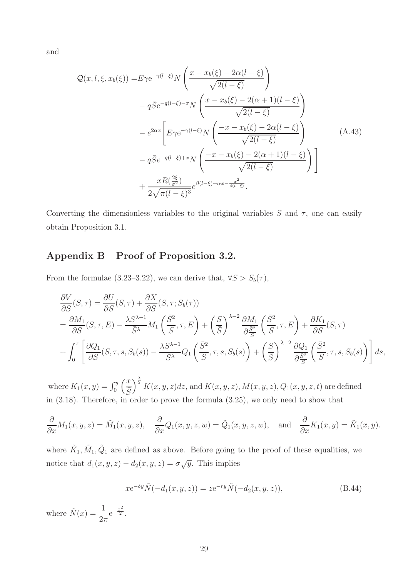and

$$
\mathcal{Q}(x,l,\xi,x_b(\xi)) = E\gamma e^{-\gamma(l-\xi)} N \left( \frac{x - x_b(\xi) - 2\alpha(l-\xi)}{\sqrt{2(l-\xi)}} \right)
$$
  
\n
$$
- q\bar{S}e^{-q(l-\xi)-x} N \left( \frac{x - x_b(\xi) - 2(\alpha+1)(l-\xi)}{\sqrt{2(l-\xi)}} \right)
$$
  
\n
$$
- e^{2\alpha x} \left[ E\gamma e^{-\gamma(l-\xi)} N \left( \frac{-x - x_b(\xi) - 2\alpha(l-\xi)}{\sqrt{2(l-\xi)}} \right) - q\bar{S}e^{-q(l-\xi)+x} N \left( \frac{-x - x_b(\xi) - 2(\alpha+1)(l-\xi)}{\sqrt{2(l-\xi)}} \right) + \frac{xR(\frac{2\xi}{\sigma^2})}{2\sqrt{\pi(l-\xi)^3}} e^{\beta(l-\xi)+\alpha x - \frac{x^2}{4(l-\xi)}}.
$$
\n(A.43)

Converting the dimensionless variables to the original variables S and  $\tau$ , one can easily obtain Proposition 3.1.

### Appendix B Proof of Proposition 3.2.

From the formulae (3.23–3.22), we can derive that,  $\forall S > S_b(\tau)$ ,

$$
\frac{\partial V}{\partial S}(S,\tau) = \frac{\partial U}{\partial S}(S,\tau) + \frac{\partial X}{\partial S}(S,\tau;S_b(\tau))
$$
\n
$$
= \frac{\partial M_1}{\partial S}(S,\tau,E) - \frac{\lambda S^{\lambda-1}}{\bar{S}^{\lambda}}M_1\left(\frac{\bar{S}^2}{S},\tau,E\right) + \left(\frac{S}{\bar{S}}\right)^{\lambda-2} \frac{\partial M_1}{\partial \frac{\bar{S}^2}{S}}\left(\frac{\bar{S}^2}{S},\tau,E\right) + \frac{\partial K_1}{\partial S}(S,\tau)
$$
\n
$$
+ \int_0^\tau \left[\frac{\partial Q_1}{\partial S}(S,\tau,s,S_b(s)) - \frac{\lambda S^{\lambda-1}}{\bar{S}^{\lambda}}Q_1\left(\frac{\bar{S}^2}{S},\tau,s,S_b(s)\right) + \left(\frac{S}{\bar{S}}\right)^{\lambda-2} \frac{\partial Q_1}{\partial \frac{\bar{S}^2}{S}}\left(\frac{\bar{S}^2}{S},\tau,s,S_b(s)\right)\right] ds,
$$

where  $K_1(x, y) = \int_0^y$  $\frac{x}{2}$  $\bar{S}$  $\int^{\frac{\lambda}{2}} K(x, y, z) dz$ , and  $K(x, y, z)$ ,  $M(x, y, z)$ ,  $Q_1(x, y, z, t)$  are defined in (3.18). Therefore, in order to prove the formula (3.25), we only need to show that

$$
\frac{\partial}{\partial x}M_1(x,y,z) = \tilde{M}_1(x,y,z), \quad \frac{\partial}{\partial x}Q_1(x,y,z,w) = \tilde{Q}_1(x,y,z,w), \quad \text{and} \quad \frac{\partial}{\partial x}K_1(x,y) = \tilde{K}_1(x,y).
$$

where  $\tilde{K}_1, \tilde{M}_1, \tilde{Q}_1$  are defined as above. Before going to the proof of these equalities, we notice that  $d_1(x, y, z) - d_2(x, y, z) = \sigma \sqrt{y}$ . This implies

$$
xe^{-\delta y} \tilde{N}(-d_1(x, y, z)) = ze^{-ry} \tilde{N}(-d_2(x, y, z)),
$$
\n(B.44)

where  $\tilde{N}(x) = \frac{1}{2}$  $2\pi$  $e^{-\frac{x^2}{2}}$ .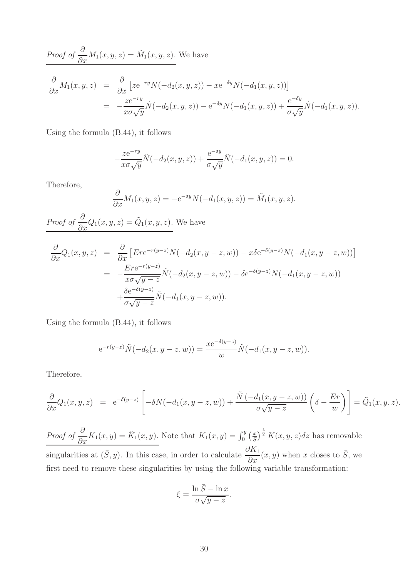*Proof of*  $\frac{\partial}{\partial x}M_1(x, y, z) = \tilde{M}_1(x, y, z)$ . We have

$$
\frac{\partial}{\partial x}M_1(x,y,z) = \frac{\partial}{\partial x} \left[ze^{-ry}N(-d_2(x,y,z)) - xe^{-\delta y}N(-d_1(x,y,z))\right]
$$
  
= 
$$
-\frac{ze^{-ry}}{x\sigma\sqrt{y}}\tilde{N}(-d_2(x,y,z)) - e^{-\delta y}N(-d_1(x,y,z)) + \frac{e^{-\delta y}}{\sigma\sqrt{y}}\tilde{N}(-d_1(x,y,z)).
$$

Using the formula (B.44), it follows

$$
-\frac{ze^{-ry}}{x\sigma\sqrt{y}}\tilde{N}(-d_2(x,y,z)) + \frac{e^{-\delta y}}{\sigma\sqrt{y}}\tilde{N}(-d_1(x,y,z)) = 0.
$$

Therefore,

$$
\frac{\partial}{\partial x}M_1(x,y,z) = -e^{-\delta y}N(-d_1(x,y,z)) = \tilde{M}_1(x,y,z).
$$

*Proof of*  $\frac{\partial}{\partial x}Q_1(x, y, z) = \tilde{Q}_1(x, y, z)$ . We have

$$
\frac{\partial}{\partial x}Q_1(x,y,z) = \frac{\partial}{\partial x} \left[ Ere^{-r(y-z)}N(-d_2(x,y-z,w)) - x\delta e^{-\delta(y-z)}N(-d_1(x,y-z,w)) \right]
$$

$$
= -\frac{Ere^{-r(y-z)}}{x\sigma\sqrt{y-z}}\tilde{N}(-d_2(x,y-z,w)) - \delta e^{-\delta(y-z)}N(-d_1(x,y-z,w))
$$

$$
+ \frac{\delta e^{-\delta(y-z)}}{\sigma\sqrt{y-z}}\tilde{N}(-d_1(x,y-z,w)).
$$

Using the formula (B.44), it follows

$$
e^{-r(y-z)}\tilde{N}(-d_2(x, y-z, w)) = \frac{xe^{-\delta(y-z)}}{w}\tilde{N}(-d_1(x, y-z, w)).
$$

Therefore,

$$
\frac{\partial}{\partial x}Q_1(x,y,z) = e^{-\delta(y-z)} \left[ -\delta N(-d_1(x,y-z,w)) + \frac{\tilde{N}(-d_1(x,y-z,w))}{\sigma\sqrt{y-z}} \left( \delta - \frac{Er}{w} \right) \right] = \tilde{Q}_1(x,y,z).
$$

*Proof of*  $\frac{\partial}{\partial x} K_1(x, y) = \tilde{K}_1(x, y)$ . Note that  $K_1(x, y) = \int_0^y \left(\frac{x}{S}\right)^{\frac{\lambda}{2}} K(x, y, z) dz$  has removable singularities at  $(\bar{S}, y)$ . In this case, in order to calculate  $\frac{\partial K_1}{\partial x}(x, y)$  when x closes to  $\bar{S}$ , we first need to remove these singularities by using the following variable transformation:

$$
\xi = \frac{\ln \bar{S} - \ln x}{\sigma \sqrt{y - z}}.
$$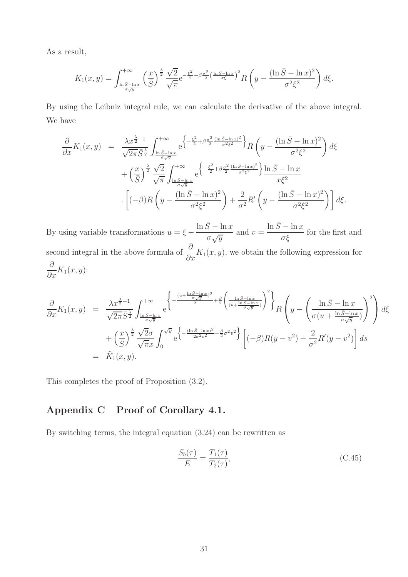As a result,

$$
K_1(x,y) = \int_{\frac{\ln \bar{S} - \ln x}{\sigma \sqrt{y}}}^{+\infty} \left(\frac{x}{\bar{S}}\right)^{\frac{\lambda}{2}} \frac{\sqrt{2}}{\sqrt{\pi}} e^{-\frac{\xi^2}{2} + \beta \frac{\sigma^2}{2} \left(\frac{\ln \bar{S} - \ln x}{\sigma \xi}\right)^2} R\left(y - \frac{(\ln \bar{S} - \ln x)^2}{\sigma^2 \xi^2}\right) d\xi.
$$

By using the Leibniz integral rule, we can calculate the derivative of the above integral. We have

$$
\frac{\partial}{\partial x} K_1(x, y) = \frac{\lambda x^{\frac{\lambda}{2}-1}}{\sqrt{2\pi \bar{S}^{\frac{\lambda}{2}}}} \int_{\frac{\ln \bar{S}-\ln x}{\sigma\sqrt{y}}}^{+\infty} e^{\left\{-\frac{\xi^2}{2} + \beta \frac{\sigma^2}{2} \frac{(\ln \bar{S}-\ln x)^2}{\sigma^2 \xi^2}\right\}} R\left(y - \frac{(\ln \bar{S}-\ln x)^2}{\sigma^2 \xi^2}\right) d\xi
$$

$$
+ \left(\frac{x}{\bar{S}}\right)^{\frac{\lambda}{2}} \frac{\sqrt{2}}{\sqrt{\pi}} \int_{\frac{\ln \bar{S}-\ln x}{\sigma\sqrt{y}}}^{+\infty} e^{\left\{-\frac{\xi^2}{2} + \beta \frac{\sigma^2}{2} \frac{(\ln \bar{S}-\ln x)^2}{\sigma^2 \xi^2}\right\}} \frac{\ln \bar{S}-\ln x}{x\xi^2}
$$

$$
\cdot \left[(-\beta)R\left(y - \frac{(\ln \bar{S}-\ln x)^2}{\sigma^2 \xi^2}\right) + \frac{2}{\sigma^2} R'\left(y - \frac{(\ln \bar{S}-\ln x)^2}{\sigma^2 \xi^2}\right)\right] d\xi.
$$

By using variable transformations  $u = \xi \ln \bar{S} - \ln x$  $\frac{\overline{S} - \ln x}{\sigma \sqrt{y}}$  and  $v = \frac{\ln \overline{S} - \ln x}{\sigma \xi}$  $\frac{m\omega}{\sigma\xi}$  for the first and second integral in the above formula of  $\frac{\partial}{\partial \theta}$  $\frac{\partial}{\partial x}K_1(x, y)$ , we obtain the following expression for ∂  $\frac{\partial}{\partial x}K_1(x,y)$ :

$$
\frac{\partial}{\partial x} K_1(x, y) = \frac{\lambda x^{\frac{\lambda}{2}-1}}{\sqrt{2\pi S^{\frac{\lambda}{2}}}} \int_{\frac{\ln \bar{S}-\ln x}{\sigma\sqrt{y}}}^{+\infty} e^{-\frac{\left(\frac{(u+\ln \bar{S}-\ln x)}{\sigma\sqrt{y}}\right)^2}{2} + \frac{\beta}{2} \left(\frac{\ln \bar{S}-\ln x}{(u+\frac{\ln \bar{S}-\ln x}{\sigma\sqrt{y}})}\right)^2} R\left(y - \left(\frac{\ln \bar{S}-\ln x}{\sigma(u+\frac{\ln \bar{S}-\ln x}{\sigma\sqrt{y}})}\right)^2\right) d\xi
$$
\n
$$
+ \left(\frac{x}{\bar{S}}\right)^{\frac{\lambda}{2}} \frac{\sqrt{2}\sigma}{\sqrt{\pi}x} \int_0^{\sqrt{y}} e^{-\frac{\left(\ln \bar{S}-\ln x\right)^2}{2\sigma^2 v^2} + \frac{\beta}{2}\sigma^2 v^2} \left[(-\beta)R(y - v^2) + \frac{2}{\sigma^2}R'(y - v^2)\right] ds
$$
\n
$$
= \tilde{K}_1(x, y).
$$

This completes the proof of Proposition (3.2).

### Appendix C Proof of Corollary 4.1.

By switching terms, the integral equation (3.24) can be rewritten as

$$
\frac{S_b(\tau)}{E} = \frac{T_1(\tau)}{T_2(\tau)},\tag{C.45}
$$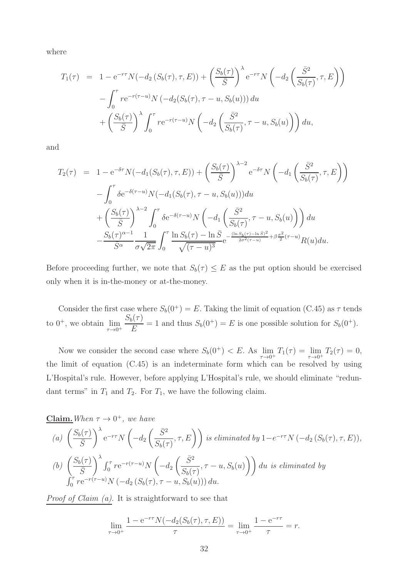where

$$
T_1(\tau) = 1 - e^{-r\tau} N(-d_2(S_b(\tau), \tau, E)) + \left(\frac{S_b(\tau)}{\overline{S}}\right)^{\lambda} e^{-r\tau} N\left(-d_2\left(\frac{\overline{S}^2}{S_b(\tau)}, \tau, E\right)\right)
$$

$$
-\int_0^{\tau} r e^{-r(\tau - u)} N\left(-d_2(S_b(\tau), \tau - u, S_b(u))\right) du
$$

$$
+\left(\frac{S_b(\tau)}{\overline{S}}\right)^{\lambda} \int_0^{\tau} r e^{-r(\tau - u)} N\left(-d_2\left(\frac{\overline{S}^2}{S_b(\tau)}, \tau - u, S_b(u)\right)\right) du,
$$

and

$$
T_2(\tau) = 1 - e^{-\delta \tau} N(-d_1(S_b(\tau), \tau, E)) + \left(\frac{S_b(\tau)}{\bar{S}}\right)^{\lambda - 2} e^{-\delta \tau} N\left(-d_1\left(\frac{\bar{S}^2}{S_b(\tau)}, \tau, E\right)\right)
$$

$$
- \int_0^{\tau} \delta e^{-\delta(\tau - u)} N(-d_1(S_b(\tau), \tau - u, S_b(u))) du
$$

$$
+ \left(\frac{S_b(\tau)}{\bar{S}}\right)^{\lambda - 2} \int_0^{\tau} \delta e^{-\delta(\tau - u)} N\left(-d_1\left(\frac{\bar{S}^2}{S_b(\tau)}, \tau - u, S_b(u)\right)\right) du
$$

$$
- \frac{S_b(\tau)^{\alpha - 1}}{\bar{S}^{\alpha}} \frac{1}{\sigma \sqrt{2\pi}} \int_0^{\tau} \frac{\ln S_b(\tau) - \ln \bar{S}}{\sqrt{(\tau - u)^3}} e^{-\frac{(\ln S_b(\tau) - \ln \bar{S})^2}{2\sigma^2(\tau - u)} + \beta \frac{\sigma^2}{2}(\tau - u)} R(u) du.
$$

Before proceeding further, we note that  $S_b(\tau) \leq E$  as the put option should be exercised only when it is in-the-money or at-the-money.

Consider the first case where  $S_b(0^+) = E$ . Taking the limit of equation (C.45) as  $\tau$  tends to  $0^+$ , we obtain  $\lim$  $\tau \rightarrow 0^+$  $S_b(\tau)$  $\frac{S(b+1)}{E} = 1$  and thus  $S_b(0^+) = E$  is one possible solution for  $S_b(0^+)$ .

Now we consider the second case where  $S_b(0^+) < E$ . As  $\lim_{\varepsilon \to 0}$  $\tau \rightarrow 0^+$  $T_1(\tau) = \lim_{\Omega}$  $\tau \rightarrow 0^+$  $T_2(\tau ) = 0,$ the limit of equation (C.45) is an indeterminate form which can be resolved by using L'Hospital's rule. However, before applying L'Hospital's rule, we should eliminate "redundant terms" in  $T_1$  and  $T_2$ . For  $T_1$ , we have the following claim.

**Claim.** When  $\tau \to 0^+$ , we have

(a) 
$$
\left(\frac{S_b(\tau)}{\bar{S}}\right)^{\lambda} e^{-r\tau} N\left(-d_2\left(\frac{\bar{S}^2}{S_b(\tau)}, \tau, E\right)\right)
$$
 is eliminated by  $1 - e^{-r\tau} N\left(-d_2\left(S_b(\tau), \tau, E\right)\right)$ ,  
\n(b)  $\left(\frac{S_b(\tau)}{\bar{S}}\right)^{\lambda} \int_0^{\tau} r e^{-r(\tau-u)} N\left(-d_2\left(\frac{\bar{S}^2}{S_b(\tau)}, \tau-u, S_b(u)\right)\right) du$  is eliminated by  $\int_0^{\tau} r e^{-r(\tau-u)} N\left(-d_2\left(S_b(\tau), \tau-u, S_b(u)\right)\right) du$ .

*Proof of Claim*  $(a)$ *.* It is straightforward to see that

$$
\lim_{\tau \to 0^+} \frac{1 - e^{-r\tau} N(-d_2(S_b(\tau), \tau, E))}{\tau} = \lim_{\tau \to 0^+} \frac{1 - e^{-r\tau}}{\tau} = r.
$$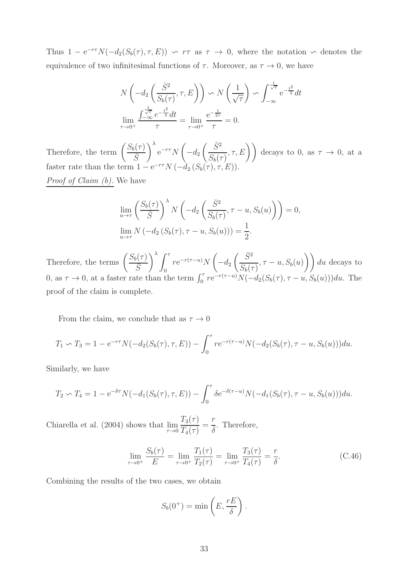Thus  $1 - e^{-r\tau} N(-d_2(S_b(\tau), \tau, E)) \subseteq r\tau$  as  $\tau \to 0$ , where the notation  $\sim$  denotes the equivalence of two infinitesimal functions of  $\tau$ . Moreover, as  $\tau \to 0$ , we have

$$
N\left(-d_2\left(\frac{\bar{S}^2}{S_b(\tau)}, \tau, E\right)\right) \sim N\left(\frac{1}{\sqrt{\tau}}\right) \sim \int_{-\infty}^{\frac{1}{\sqrt{\tau}}} e^{-\frac{t^2}{2}} dt
$$

$$
\lim_{\tau \to 0^+} \frac{\int_{-\infty}^{\frac{1}{\sqrt{\tau}}} e^{-\frac{t^2}{2}} dt}{\tau} = \lim_{\tau \to 0^+} \frac{e^{-\frac{1}{2\tau}}}{\tau} = 0.
$$

Therefore, the term  $\left(\frac{S_b(\tau)}{\bar{S}}\right)$  $\bar{S}$  $\setminus^{\lambda}$  $e^{-r\tau}N$  $-d_2$  $\sqrt{S^2}$  $\left(\frac{\bar{S}^2}{S_b(\tau)}, \tau, E\right)$  decays to 0, as  $\tau \to 0$ , at a faster rate than the term  $1 - e^{-r\tau} N(-d_2(S_b(\tau), \tau, E)).$ *Proof of Claim*  $(b)$ *.* We have

$$
\lim_{u \to \tau} \left( \frac{S_b(\tau)}{\overline{S}} \right)^{\lambda} N \left( -d_2 \left( \frac{\overline{S}^2}{S_b(\tau)}, \tau - u, S_b(u) \right) \right) = 0,
$$
  

$$
\lim_{u \to \tau} N \left( -d_2 \left( S_b(\tau), \tau - u, S_b(u) \right) \right) = \frac{1}{2}.
$$

Therefore, the terms  $\left(\frac{S_b(\tau)}{\bar{S}}\right)$  $\bar{S}$  $\bigwedge^{\lambda}$   $\int^{\tau}$  $\theta$  $re^{-r(\tau-u)}N$  $-d_2$  $\sqrt{S^2}$  $\left(\frac{\bar{S}^2}{S_b(\tau)}, \tau - u, S_b(u)\right) du$  decays to 0, as  $\tau \to 0$ , at a faster rate than the term  $\int_0^{\tau} r e^{-r(\tau-u)} N(-d_2(S_b(\tau), \tau-u, S_b(u)))du$ . The proof of the claim is complete.

From the claim, we conclude that as  $\tau \to 0$ 

$$
T_1 \backsim T_3 = 1 - e^{-r\tau} N(-d_2(S_b(\tau), \tau, E)) - \int_0^{\tau} r e^{-r(\tau - u)} N(-d_2(S_b(\tau), \tau - u, S_b(u))) du.
$$

Similarly, we have

$$
T_2 \backsim T_4 = 1 - e^{-\delta \tau} N(-d_1(S_b(\tau), \tau, E)) - \int_0^{\tau} \delta e^{-\delta(\tau - u)} N(-d_1(S_b(\tau), \tau - u, S_b(u))) du.
$$

Chiarella et al. (2004) shows that  $\lim_{\tau \to 0}$  $T_3(\tau)$  $T_4(\tau)$ = r  $\delta$ . Therefore,

$$
\lim_{\tau \to 0^+} \frac{S_b(\tau)}{E} = \lim_{\tau \to 0^+} \frac{T_1(\tau)}{T_2(\tau)} = \lim_{\tau \to 0^+} \frac{T_3(\tau)}{T_4(\tau)} = \frac{r}{\delta}.
$$
\n(C.46)

Combining the results of the two cases, we obtain

$$
S_b(0^+) = \min\left(E, \frac{rE}{\delta}\right).
$$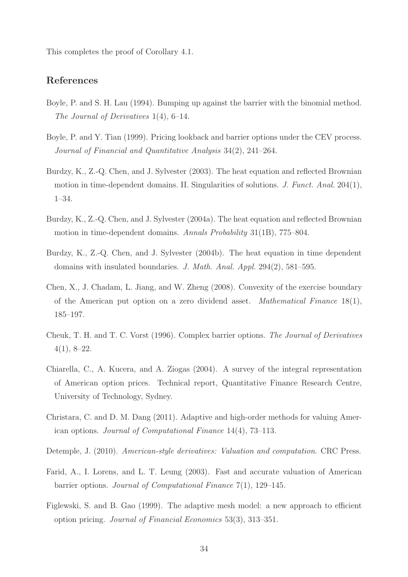This completes the proof of Corollary 4.1.

### References

- Boyle, P. and S. H. Lau (1994). Bumping up against the barrier with the binomial method. The Journal of Derivatives 1(4), 6–14.
- Boyle, P. and Y. Tian (1999). Pricing lookback and barrier options under the CEV process. Journal of Financial and Quantitative Analysis 34(2), 241–264.
- Burdzy, K., Z.-Q. Chen, and J. Sylvester (2003). The heat equation and reflected Brownian motion in time-dependent domains. II. Singularities of solutions. J. Funct. Anal. 204(1), 1–34.
- Burdzy, K., Z.-Q. Chen, and J. Sylvester (2004a). The heat equation and reflected Brownian motion in time-dependent domains. Annals Probability 31(1B), 775–804.
- Burdzy, K., Z.-Q. Chen, and J. Sylvester (2004b). The heat equation in time dependent domains with insulated boundaries. J. Math. Anal. Appl. 294(2), 581–595.
- Chen, X., J. Chadam, L. Jiang, and W. Zheng (2008). Convexity of the exercise boundary of the American put option on a zero dividend asset. Mathematical Finance 18(1), 185–197.
- Cheuk, T. H. and T. C. Vorst (1996). Complex barrier options. The Journal of Derivatives 4(1), 8–22.
- Chiarella, C., A. Kucera, and A. Ziogas (2004). A survey of the integral representation of American option prices. Technical report, Quantitative Finance Research Centre, University of Technology, Sydney.
- Christara, C. and D. M. Dang (2011). Adaptive and high-order methods for valuing American options. Journal of Computational Finance 14(4), 73–113.
- Detemple, J. (2010). American-style derivatives: Valuation and computation. CRC Press.
- Farid, A., I. Lorens, and L. T. Leung (2003). Fast and accurate valuation of American barrier options. Journal of Computational Finance 7(1), 129–145.
- Figlewski, S. and B. Gao (1999). The adaptive mesh model: a new approach to efficient option pricing. Journal of Financial Economics 53(3), 313–351.